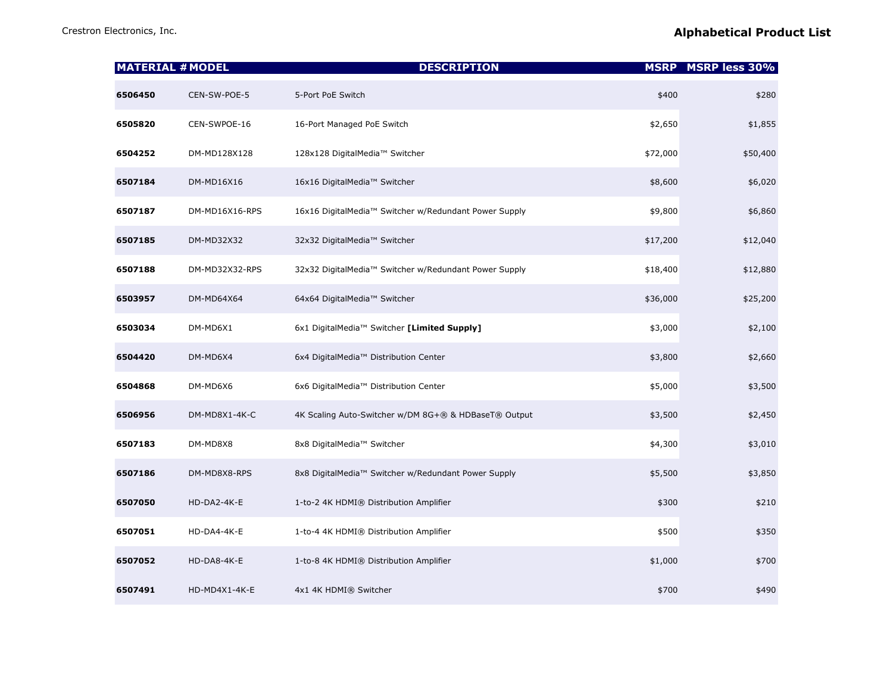|         | <b>MATERIAL # MODEL</b> | <b>DESCRIPTION</b>                                    |          | <b>MSRP</b> MSRP less 30% |
|---------|-------------------------|-------------------------------------------------------|----------|---------------------------|
| 6506450 | CEN-SW-POE-5            | 5-Port PoE Switch                                     | \$400    | \$280                     |
| 6505820 | CEN-SWPOE-16            | 16-Port Managed PoE Switch                            | \$2,650  | \$1,855                   |
| 6504252 | DM-MD128X128            | 128x128 DigitalMedia™ Switcher                        | \$72,000 | \$50,400                  |
| 6507184 | DM-MD16X16              | 16x16 DigitalMedia™ Switcher                          | \$8,600  | \$6,020                   |
| 6507187 | DM-MD16X16-RPS          | 16x16 DigitalMedia™ Switcher w/Redundant Power Supply | \$9,800  | \$6,860                   |
| 6507185 | DM-MD32X32              | 32x32 DigitalMedia™ Switcher                          | \$17,200 | \$12,040                  |
| 6507188 | DM-MD32X32-RPS          | 32x32 DigitalMedia™ Switcher w/Redundant Power Supply | \$18,400 | \$12,880                  |
| 6503957 | DM-MD64X64              | 64x64 DigitalMedia™ Switcher                          | \$36,000 | \$25,200                  |
| 6503034 | DM-MD6X1                | 6x1 DigitalMedia™ Switcher [Limited Supply]           | \$3,000  | \$2,100                   |
| 6504420 | DM-MD6X4                | 6x4 DigitalMedia™ Distribution Center                 | \$3,800  | \$2,660                   |
| 6504868 | DM-MD6X6                | 6x6 DigitalMedia™ Distribution Center                 | \$5,000  | \$3,500                   |
| 6506956 | DM-MD8X1-4K-C           | 4K Scaling Auto-Switcher w/DM 8G+® & HDBaseT® Output  | \$3,500  | \$2,450                   |
| 6507183 | DM-MD8X8                | 8x8 DigitalMedia™ Switcher                            | \$4,300  | \$3,010                   |
| 6507186 | DM-MD8X8-RPS            | 8x8 DigitalMedia™ Switcher w/Redundant Power Supply   | \$5,500  | \$3,850                   |
| 6507050 | HD-DA2-4K-E             | 1-to-2 4K HDMI® Distribution Amplifier                | \$300    | \$210                     |
| 6507051 | HD-DA4-4K-E             | 1-to-4 4K HDMI® Distribution Amplifier                | \$500    | \$350                     |
| 6507052 | HD-DA8-4K-E             | 1-to-8 4K HDMI® Distribution Amplifier                | \$1,000  | \$700                     |
| 6507491 | HD-MD4X1-4K-E           | 4x1 4K HDMI® Switcher                                 | \$700    | \$490                     |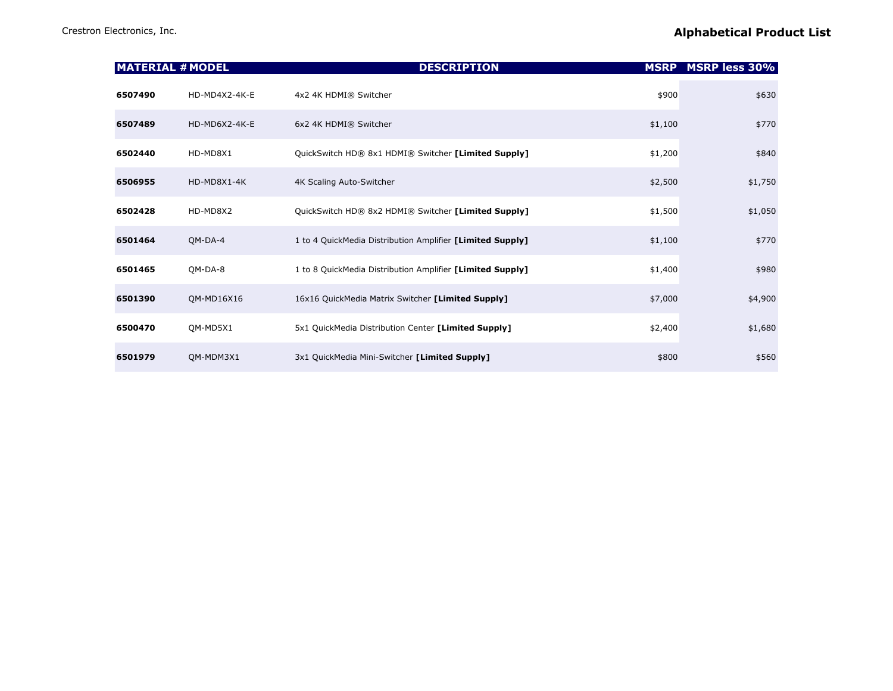| <b>MATERIAL # MODEL</b> |               | <b>DESCRIPTION</b>                                        | <b>MSRP</b> | <b>MSRP less 30%</b> |
|-------------------------|---------------|-----------------------------------------------------------|-------------|----------------------|
| 6507490                 | HD-MD4X2-4K-E | 4x2 4K HDMI® Switcher                                     | \$900       | \$630                |
| 6507489                 | HD-MD6X2-4K-E | 6x2 4K HDMI® Switcher                                     | \$1,100     | \$770                |
| 6502440                 | HD-MD8X1      | QuickSwitch HD® 8x1 HDMI® Switcher [Limited Supply]       | \$1,200     | \$840                |
| 6506955                 | HD-MD8X1-4K   | 4K Scaling Auto-Switcher                                  | \$2,500     | \$1,750              |
| 6502428                 | HD-MD8X2      | QuickSwitch HD® 8x2 HDMI® Switcher [Limited Supply]       | \$1,500     | \$1,050              |
| 6501464                 | QM-DA-4       | 1 to 4 QuickMedia Distribution Amplifier [Limited Supply] | \$1,100     | \$770                |
| 6501465                 | QM-DA-8       | 1 to 8 QuickMedia Distribution Amplifier [Limited Supply] | \$1,400     | \$980                |
| 6501390                 | QM-MD16X16    | 16x16 QuickMedia Matrix Switcher [Limited Supply]         | \$7,000     | \$4,900              |
| 6500470                 | QM-MD5X1      | 5x1 QuickMedia Distribution Center [Limited Supply]       | \$2,400     | \$1,680              |
| 6501979                 | QM-MDM3X1     | 3x1 QuickMedia Mini-Switcher [Limited Supply]             | \$800       | \$560                |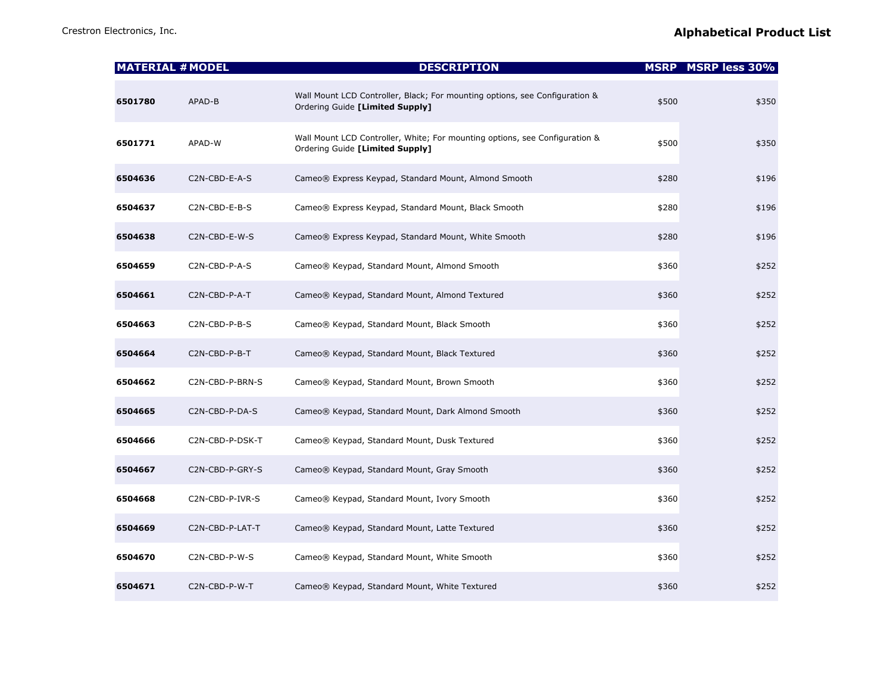|         | <b>MATERIAL # MODEL</b> | <b>DESCRIPTION</b>                                                                                             |       | <b>MSRP MSRP less 30%</b> |
|---------|-------------------------|----------------------------------------------------------------------------------------------------------------|-------|---------------------------|
| 6501780 | APAD-B                  | Wall Mount LCD Controller, Black; For mounting options, see Configuration &<br>Ordering Guide [Limited Supply] | \$500 | \$350                     |
| 6501771 | APAD-W                  | Wall Mount LCD Controller, White; For mounting options, see Configuration &<br>Ordering Guide [Limited Supply] | \$500 | \$350                     |
| 6504636 | C2N-CBD-E-A-S           | Cameo® Express Keypad, Standard Mount, Almond Smooth                                                           | \$280 | \$196                     |
| 6504637 | C2N-CBD-E-B-S           | Cameo® Express Keypad, Standard Mount, Black Smooth                                                            | \$280 | \$196                     |
| 6504638 | C2N-CBD-E-W-S           | Cameo® Express Keypad, Standard Mount, White Smooth                                                            | \$280 | \$196                     |
| 6504659 | C2N-CBD-P-A-S           | Cameo® Keypad, Standard Mount, Almond Smooth                                                                   | \$360 | \$252                     |
| 6504661 | C2N-CBD-P-A-T           | Cameo® Keypad, Standard Mount, Almond Textured                                                                 | \$360 | \$252                     |
| 6504663 | C2N-CBD-P-B-S           | Cameo® Keypad, Standard Mount, Black Smooth                                                                    | \$360 | \$252                     |
| 6504664 | C2N-CBD-P-B-T           | Cameo® Keypad, Standard Mount, Black Textured                                                                  | \$360 | \$252                     |
| 6504662 | C2N-CBD-P-BRN-S         | Cameo® Keypad, Standard Mount, Brown Smooth                                                                    | \$360 | \$252                     |
| 6504665 | C2N-CBD-P-DA-S          | Cameo® Keypad, Standard Mount, Dark Almond Smooth                                                              | \$360 | \$252                     |
| 6504666 | C2N-CBD-P-DSK-T         | Cameo® Keypad, Standard Mount, Dusk Textured                                                                   | \$360 | \$252                     |
| 6504667 | C2N-CBD-P-GRY-S         | Cameo® Keypad, Standard Mount, Gray Smooth                                                                     | \$360 | \$252                     |
| 6504668 | C2N-CBD-P-IVR-S         | Cameo® Keypad, Standard Mount, Ivory Smooth                                                                    | \$360 | \$252                     |
| 6504669 | C2N-CBD-P-LAT-T         | Cameo® Keypad, Standard Mount, Latte Textured                                                                  | \$360 | \$252                     |
| 6504670 | C2N-CBD-P-W-S           | Cameo® Keypad, Standard Mount, White Smooth                                                                    | \$360 | \$252                     |
| 6504671 | C2N-CBD-P-W-T           | Cameo® Keypad, Standard Mount, White Textured                                                                  | \$360 | \$252                     |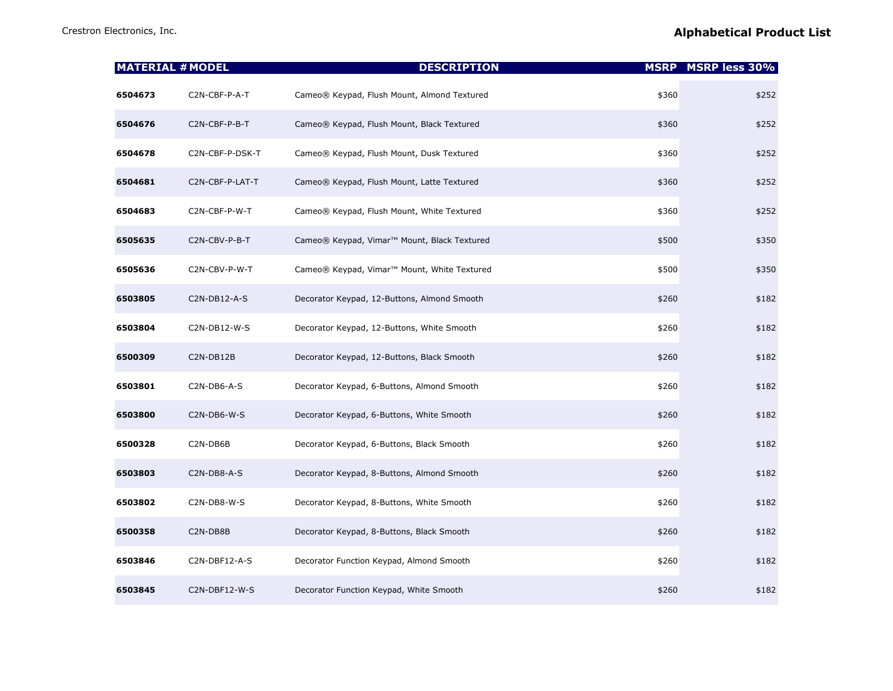|         | <b>MATERIAL # MODEL</b> | <b>DESCRIPTION</b>                                      |       | <b>MSRP MSRP less 30%</b> |
|---------|-------------------------|---------------------------------------------------------|-------|---------------------------|
| 6504673 | C2N-CBF-P-A-T           | Cameo® Keypad, Flush Mount, Almond Textured             | \$360 | \$252                     |
| 6504676 | C2N-CBF-P-B-T           | Cameo® Keypad, Flush Mount, Black Textured              | \$360 | \$252                     |
| 6504678 | C2N-CBF-P-DSK-T         | Cameo® Keypad, Flush Mount, Dusk Textured               | \$360 | \$252                     |
| 6504681 | C2N-CBF-P-LAT-T         | Cameo® Keypad, Flush Mount, Latte Textured              | \$360 | \$252                     |
| 6504683 | C2N-CBF-P-W-T           | Cameo® Keypad, Flush Mount, White Textured              | \$360 | \$252                     |
| 6505635 | C2N-CBV-P-B-T           | Cameo® Keypad, Vimar <sup>™</sup> Mount, Black Textured | \$500 | \$350                     |
| 6505636 | C2N-CBV-P-W-T           | Cameo® Keypad, Vimar <sup>™</sup> Mount, White Textured | \$500 | \$350                     |
| 6503805 | C2N-DB12-A-S            | Decorator Keypad, 12-Buttons, Almond Smooth             | \$260 | \$182                     |
| 6503804 | C2N-DB12-W-S            | Decorator Keypad, 12-Buttons, White Smooth              | \$260 | \$182                     |
| 6500309 | C2N-DB12B               | Decorator Keypad, 12-Buttons, Black Smooth              | \$260 | \$182                     |
| 6503801 | C2N-DB6-A-S             | Decorator Keypad, 6-Buttons, Almond Smooth              | \$260 | \$182                     |
| 6503800 | C2N-DB6-W-S             | Decorator Keypad, 6-Buttons, White Smooth               | \$260 | \$182                     |
| 6500328 | C2N-DB6B                | Decorator Keypad, 6-Buttons, Black Smooth               | \$260 | \$182                     |
| 6503803 | C2N-DB8-A-S             | Decorator Keypad, 8-Buttons, Almond Smooth              | \$260 | \$182                     |
| 6503802 | C2N-DB8-W-S             | Decorator Keypad, 8-Buttons, White Smooth               | \$260 | \$182                     |
| 6500358 | C2N-DB8B                | Decorator Keypad, 8-Buttons, Black Smooth               | \$260 | \$182                     |
| 6503846 | C2N-DBF12-A-S           | Decorator Function Keypad, Almond Smooth                | \$260 | \$182                     |
| 6503845 | C2N-DBF12-W-S           | Decorator Function Keypad, White Smooth                 | \$260 | \$182                     |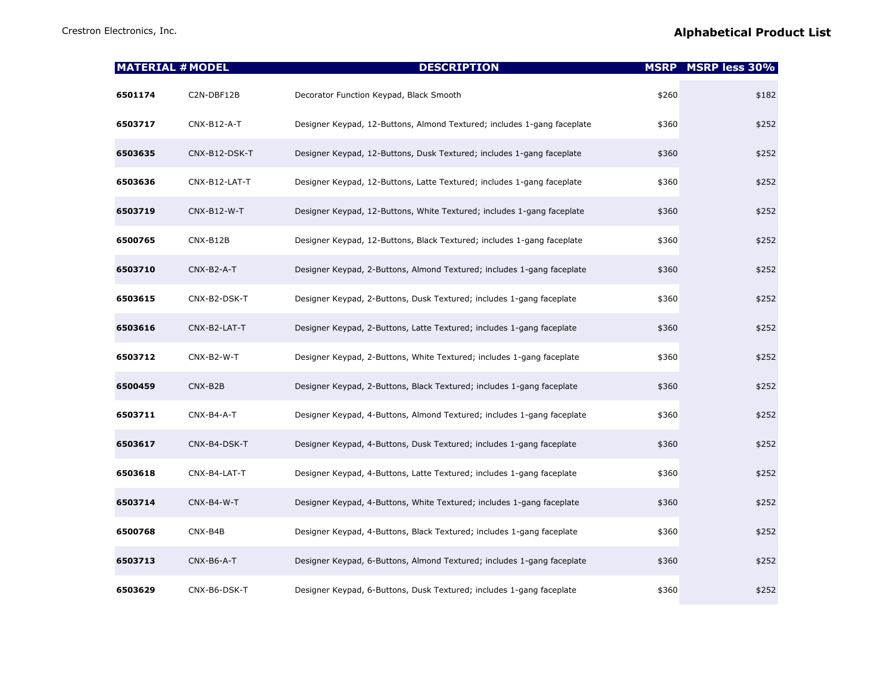| <b>MATERIAL # MODEL</b> |               | <b>DESCRIPTION</b>                                                      |       | <b>MSRP MSRP less 30%</b> |
|-------------------------|---------------|-------------------------------------------------------------------------|-------|---------------------------|
| 6501174                 | C2N-DBF12B    | Decorator Function Keypad, Black Smooth                                 | \$260 | \$182                     |
| 6503717                 | CNX-B12-A-T   | Designer Keypad, 12-Buttons, Almond Textured; includes 1-gang faceplate | \$360 | \$252                     |
| 6503635                 | CNX-B12-DSK-T | Designer Keypad, 12-Buttons, Dusk Textured; includes 1-gang faceplate   | \$360 | \$252                     |
| 6503636                 | CNX-B12-LAT-T | Designer Keypad, 12-Buttons, Latte Textured; includes 1-gang faceplate  | \$360 | \$252                     |
| 6503719                 | $CNX-B12-W-T$ | Designer Keypad, 12-Buttons, White Textured; includes 1-gang faceplate  | \$360 | \$252                     |
| 6500765                 | CNX-B12B      | Designer Keypad, 12-Buttons, Black Textured; includes 1-gang faceplate  | \$360 | \$252                     |
| 6503710                 | $CNX-B2-A-T$  | Designer Keypad, 2-Buttons, Almond Textured; includes 1-gang faceplate  | \$360 | \$252                     |
| 6503615                 | CNX-B2-DSK-T  | Designer Keypad, 2-Buttons, Dusk Textured; includes 1-gang faceplate    | \$360 | \$252                     |
| 6503616                 | CNX-B2-LAT-T  | Designer Keypad, 2-Buttons, Latte Textured; includes 1-gang faceplate   | \$360 | \$252                     |
| 6503712                 | CNX-B2-W-T    | Designer Keypad, 2-Buttons, White Textured; includes 1-gang faceplate   | \$360 | \$252                     |
| 6500459                 | CNX-B2B       | Designer Keypad, 2-Buttons, Black Textured; includes 1-gang faceplate   | \$360 | \$252                     |
| 6503711                 | CNX-B4-A-T    | Designer Keypad, 4-Buttons, Almond Textured; includes 1-gang faceplate  | \$360 | \$252                     |
| 6503617                 | CNX-B4-DSK-T  | Designer Keypad, 4-Buttons, Dusk Textured; includes 1-gang faceplate    | \$360 | \$252                     |
| 6503618                 | CNX-B4-LAT-T  | Designer Keypad, 4-Buttons, Latte Textured; includes 1-gang faceplate   | \$360 | \$252                     |
| 6503714                 | CNX-B4-W-T    | Designer Keypad, 4-Buttons, White Textured; includes 1-gang faceplate   | \$360 | \$252                     |
| 6500768                 | CNX-B4B       | Designer Keypad, 4-Buttons, Black Textured; includes 1-gang faceplate   | \$360 | \$252                     |
| 6503713                 | CNX-B6-A-T    | Designer Keypad, 6-Buttons, Almond Textured; includes 1-gang faceplate  | \$360 | \$252                     |
| 6503629                 | CNX-B6-DSK-T  | Designer Keypad, 6-Buttons, Dusk Textured; includes 1-gang faceplate    | \$360 | \$252                     |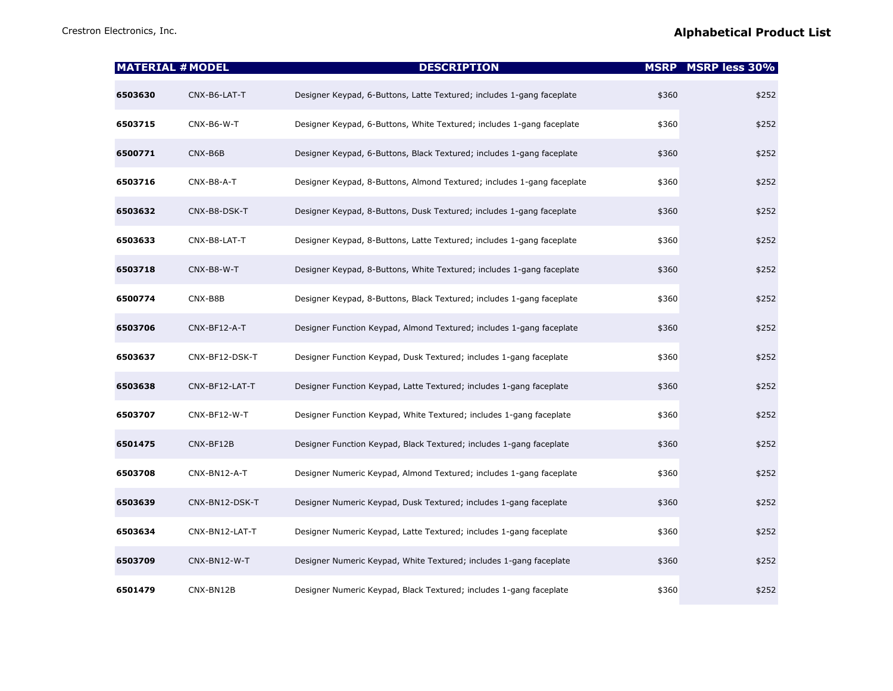|         | <b>MATERIAL # MODEL</b> | <b>DESCRIPTION</b>                                                     | <b>MSRP</b> | <b>MSRP less 30%</b> |
|---------|-------------------------|------------------------------------------------------------------------|-------------|----------------------|
| 6503630 | CNX-B6-LAT-T            | Designer Keypad, 6-Buttons, Latte Textured; includes 1-gang faceplate  | \$360       | \$252                |
| 6503715 | CNX-B6-W-T              | Designer Keypad, 6-Buttons, White Textured; includes 1-gang faceplate  | \$360       | \$252                |
| 6500771 | CNX-B6B                 | Designer Keypad, 6-Buttons, Black Textured; includes 1-gang faceplate  | \$360       | \$252                |
| 6503716 | CNX-B8-A-T              | Designer Keypad, 8-Buttons, Almond Textured; includes 1-gang faceplate | \$360       | \$252                |
| 6503632 | CNX-B8-DSK-T            | Designer Keypad, 8-Buttons, Dusk Textured; includes 1-gang faceplate   | \$360       | \$252                |
| 6503633 | CNX-B8-LAT-T            | Designer Keypad, 8-Buttons, Latte Textured; includes 1-gang faceplate  | \$360       | \$252                |
| 6503718 | CNX-B8-W-T              | Designer Keypad, 8-Buttons, White Textured; includes 1-gang faceplate  | \$360       | \$252                |
| 6500774 | CNX-B8B                 | Designer Keypad, 8-Buttons, Black Textured; includes 1-gang faceplate  | \$360       | \$252                |
| 6503706 | CNX-BF12-A-T            | Designer Function Keypad, Almond Textured; includes 1-gang faceplate   | \$360       | \$252                |
| 6503637 | CNX-BF12-DSK-T          | Designer Function Keypad, Dusk Textured; includes 1-gang faceplate     | \$360       | \$252                |
| 6503638 | CNX-BF12-LAT-T          | Designer Function Keypad, Latte Textured; includes 1-gang faceplate    | \$360       | \$252                |
| 6503707 | CNX-BF12-W-T            | Designer Function Keypad, White Textured; includes 1-gang faceplate    | \$360       | \$252                |
| 6501475 | CNX-BF12B               | Designer Function Keypad, Black Textured; includes 1-gang faceplate    | \$360       | \$252                |
| 6503708 | CNX-BN12-A-T            | Designer Numeric Keypad, Almond Textured; includes 1-gang faceplate    | \$360       | \$252                |
| 6503639 | CNX-BN12-DSK-T          | Designer Numeric Keypad, Dusk Textured; includes 1-gang faceplate      | \$360       | \$252                |
| 6503634 | CNX-BN12-LAT-T          | Designer Numeric Keypad, Latte Textured; includes 1-gang faceplate     | \$360       | \$252                |
| 6503709 | CNX-BN12-W-T            | Designer Numeric Keypad, White Textured; includes 1-gang faceplate     | \$360       | \$252                |
| 6501479 | CNX-BN12B               | Designer Numeric Keypad, Black Textured; includes 1-gang faceplate     | \$360       | \$252                |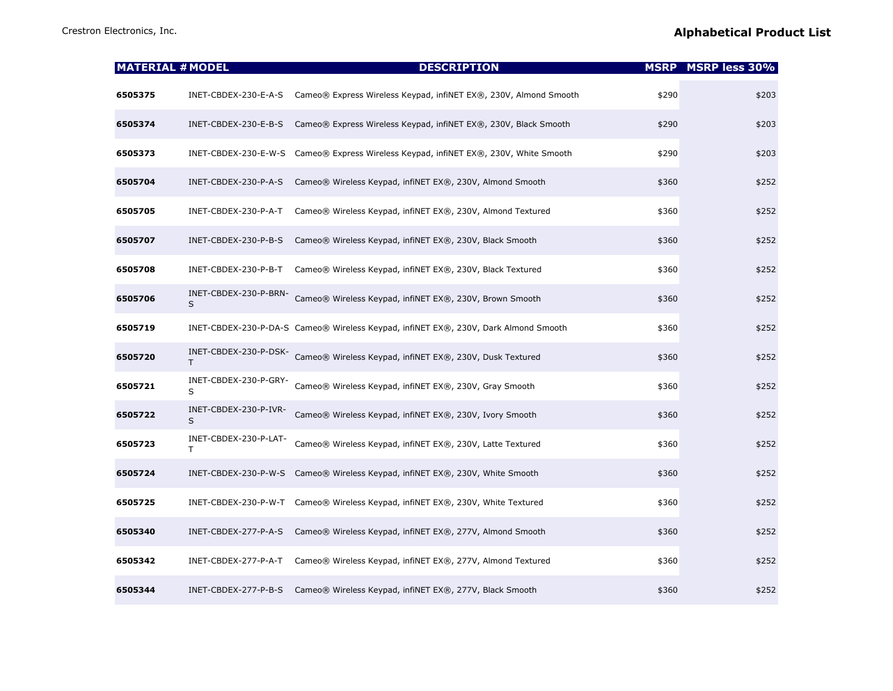| <b>MATERIAL # MODEL</b> |                             | <b>DESCRIPTION</b>                                                                  |       | <b>MSRP</b> MSRP less 30% |
|-------------------------|-----------------------------|-------------------------------------------------------------------------------------|-------|---------------------------|
| 6505375                 | INET-CBDEX-230-E-A-S        | Cameo® Express Wireless Keypad, infiNET EX®, 230V, Almond Smooth                    | \$290 | \$203                     |
| 6505374                 | INET-CBDEX-230-E-B-S        | Cameo® Express Wireless Keypad, infiNET EX®, 230V, Black Smooth                     | \$290 | \$203                     |
| 6505373                 | INET-CBDEX-230-E-W-S        | Cameo® Express Wireless Keypad, infiNET EX®, 230V, White Smooth                     | \$290 | \$203                     |
| 6505704                 | INET-CBDEX-230-P-A-S        | Cameo® Wireless Keypad, infiNET EX®, 230V, Almond Smooth                            | \$360 | \$252                     |
| 6505705                 | INET-CBDEX-230-P-A-T        | Cameo® Wireless Keypad, infiNET EX®, 230V, Almond Textured                          | \$360 | \$252                     |
| 6505707                 | INET-CBDEX-230-P-B-S        | Cameo® Wireless Keypad, infiNET EX®, 230V, Black Smooth                             | \$360 | \$252                     |
| 6505708                 | INET-CBDEX-230-P-B-T        | Cameo® Wireless Keypad, infiNET EX®, 230V, Black Textured                           | \$360 | \$252                     |
| 6505706                 | INET-CBDEX-230-P-BRN-<br>S  | Cameo® Wireless Keypad, infiNET EX®, 230V, Brown Smooth                             | \$360 | \$252                     |
| 6505719                 |                             | INET-CBDEX-230-P-DA-S Cameo® Wireless Keypad, infiNET EX®, 230V, Dark Almond Smooth | \$360 | \$252                     |
| 6505720                 | INET-CBDEX-230-P-DSK-<br>T. | Cameo® Wireless Keypad, infiNET EX®, 230V, Dusk Textured                            | \$360 | \$252                     |
| 6505721                 | INET-CBDEX-230-P-GRY-<br>S  | Cameo® Wireless Keypad, infiNET EX®, 230V, Gray Smooth                              | \$360 | \$252                     |
| 6505722                 | INET-CBDEX-230-P-IVR-<br>S  | Cameo® Wireless Keypad, infiNET EX®, 230V, Ivory Smooth                             | \$360 | \$252                     |
| 6505723                 | INET-CBDEX-230-P-LAT-<br>T  | Cameo® Wireless Keypad, infiNET EX®, 230V, Latte Textured                           | \$360 | \$252                     |
| 6505724                 |                             | INET-CBDEX-230-P-W-S Cameo® Wireless Keypad, infiNET EX®, 230V, White Smooth        | \$360 | \$252                     |
| 6505725                 |                             | INET-CBDEX-230-P-W-T Cameo® Wireless Keypad, infiNET EX®, 230V, White Textured      | \$360 | \$252                     |
| 6505340                 | INET-CBDEX-277-P-A-S        | Cameo® Wireless Keypad, infiNET EX®, 277V, Almond Smooth                            | \$360 | \$252                     |
| 6505342                 | INET-CBDEX-277-P-A-T        | Cameo® Wireless Keypad, infiNET EX®, 277V, Almond Textured                          | \$360 | \$252                     |
| 6505344                 | INET-CBDEX-277-P-B-S        | Cameo® Wireless Keypad, infiNET EX®, 277V, Black Smooth                             | \$360 | \$252                     |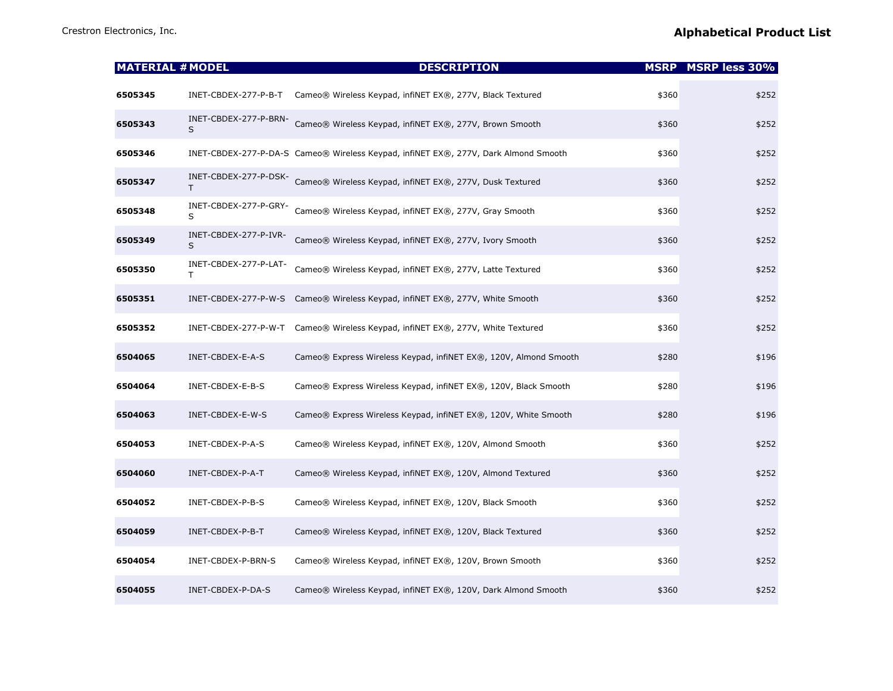| <b>MATERIAL # MODEL</b> |                             | <b>DESCRIPTION</b>                                                                  |       | <b>MSRP MSRP less 30%</b> |
|-------------------------|-----------------------------|-------------------------------------------------------------------------------------|-------|---------------------------|
| 6505345                 | INET-CBDEX-277-P-B-T        | Cameo® Wireless Keypad, infiNET EX®, 277V, Black Textured                           | \$360 | \$252                     |
| 6505343                 | INET-CBDEX-277-P-BRN-<br>S  | Cameo® Wireless Keypad, infiNET EX®, 277V, Brown Smooth                             | \$360 | \$252                     |
| 6505346                 |                             | INET-CBDEX-277-P-DA-S Cameo® Wireless Keypad, infiNET EX®, 277V, Dark Almond Smooth | \$360 | \$252                     |
| 6505347                 | INET-CBDEX-277-P-DSK-<br>т  | Cameo® Wireless Keypad, infiNET EX®, 277V, Dusk Textured                            | \$360 | \$252                     |
| 6505348                 | INET-CBDEX-277-P-GRY-<br>S  | Cameo® Wireless Keypad, infiNET EX®, 277V, Gray Smooth                              | \$360 | \$252                     |
| 6505349                 | INET-CBDEX-277-P-IVR-<br>S. | Cameo® Wireless Keypad, infiNET EX®, 277V, Ivory Smooth                             | \$360 | \$252                     |
| 6505350                 | INET-CBDEX-277-P-LAT-<br>Τ  | Cameo® Wireless Keypad, infiNET EX®, 277V, Latte Textured                           | \$360 | \$252                     |
| 6505351                 |                             | INET-CBDEX-277-P-W-S Cameo® Wireless Keypad, infiNET EX®, 277V, White Smooth        | \$360 | \$252                     |
| 6505352                 |                             | INET-CBDEX-277-P-W-T Cameo® Wireless Keypad, infiNET EX®, 277V, White Textured      | \$360 | \$252                     |
| 6504065                 | INET-CBDEX-E-A-S            | Cameo® Express Wireless Keypad, infiNET EX®, 120V, Almond Smooth                    | \$280 | \$196                     |
| 6504064                 | INET-CBDEX-E-B-S            | Cameo® Express Wireless Keypad, infiNET EX®, 120V, Black Smooth                     | \$280 | \$196                     |
| 6504063                 | INET-CBDEX-E-W-S            | Cameo® Express Wireless Keypad, infiNET EX®, 120V, White Smooth                     | \$280 | \$196                     |
| 6504053                 | INET-CBDEX-P-A-S            | Cameo® Wireless Keypad, infiNET EX®, 120V, Almond Smooth                            | \$360 | \$252                     |
| 6504060                 | INET-CBDEX-P-A-T            | Cameo® Wireless Keypad, infiNET EX®, 120V, Almond Textured                          | \$360 | \$252                     |
| 6504052                 | INET-CBDEX-P-B-S            | Cameo® Wireless Keypad, infiNET EX®, 120V, Black Smooth                             | \$360 | \$252                     |
| 6504059                 | INET-CBDEX-P-B-T            | Cameo® Wireless Keypad, infiNET EX®, 120V, Black Textured                           | \$360 | \$252                     |
| 6504054                 | INET-CBDEX-P-BRN-S          | Cameo® Wireless Keypad, infiNET EX®, 120V, Brown Smooth                             | \$360 | \$252                     |
| 6504055                 | INET-CBDEX-P-DA-S           | Cameo® Wireless Keypad, infiNET EX®, 120V, Dark Almond Smooth                       | \$360 | \$252                     |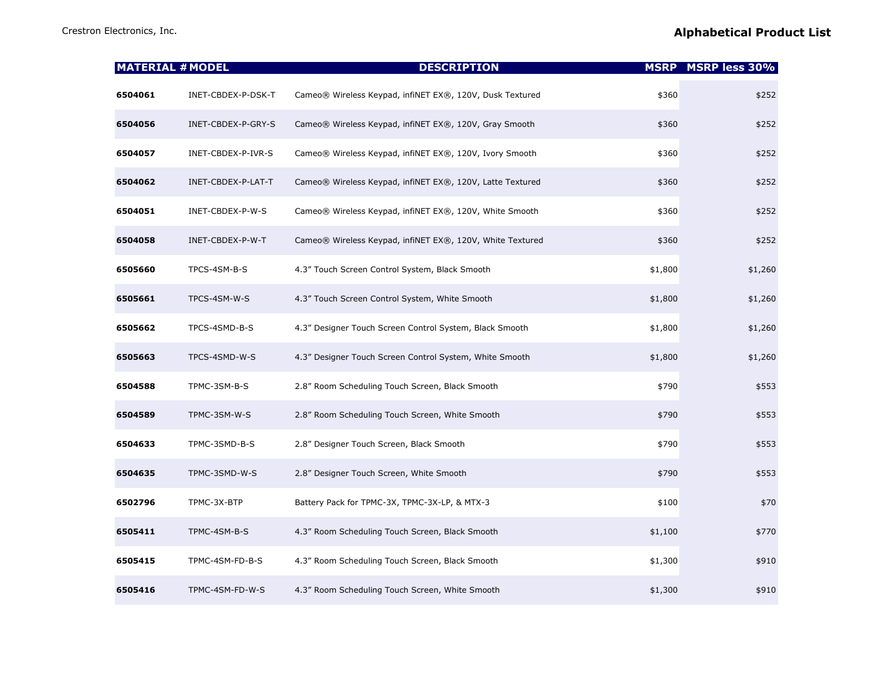| <b>MATERIAL # MODEL</b> |                    | <b>DESCRIPTION</b>                                        |         | <b>MSRP</b> MSRP less 30% |
|-------------------------|--------------------|-----------------------------------------------------------|---------|---------------------------|
| 6504061                 | INET-CBDEX-P-DSK-T | Cameo® Wireless Keypad, infiNET EX®, 120V, Dusk Textured  | \$360   | \$252                     |
| 6504056                 | INET-CBDEX-P-GRY-S | Cameo® Wireless Keypad, infiNET EX®, 120V, Gray Smooth    | \$360   | \$252                     |
| 6504057                 | INET-CBDEX-P-IVR-S | Cameo® Wireless Keypad, infiNET EX®, 120V, Ivory Smooth   | \$360   | \$252                     |
| 6504062                 | INET-CBDEX-P-LAT-T | Cameo® Wireless Keypad, infiNET EX®, 120V, Latte Textured | \$360   | \$252                     |
| 6504051                 | INET-CBDEX-P-W-S   | Cameo® Wireless Keypad, infiNET EX®, 120V, White Smooth   | \$360   | \$252                     |
| 6504058                 | INET-CBDEX-P-W-T   | Cameo® Wireless Keypad, infiNET EX®, 120V, White Textured | \$360   | \$252                     |
| 6505660                 | TPCS-4SM-B-S       | 4.3" Touch Screen Control System, Black Smooth            | \$1,800 | \$1,260                   |
| 6505661                 | TPCS-4SM-W-S       | 4.3" Touch Screen Control System, White Smooth            | \$1,800 | \$1,260                   |
| 6505662                 | TPCS-4SMD-B-S      | 4.3" Designer Touch Screen Control System, Black Smooth   | \$1,800 | \$1,260                   |
| 6505663                 | TPCS-4SMD-W-S      | 4.3" Designer Touch Screen Control System, White Smooth   | \$1,800 | \$1,260                   |
| 6504588                 | TPMC-3SM-B-S       | 2.8" Room Scheduling Touch Screen, Black Smooth           | \$790   | \$553                     |
| 6504589                 | TPMC-3SM-W-S       | 2.8" Room Scheduling Touch Screen, White Smooth           | \$790   | \$553                     |
| 6504633                 | TPMC-3SMD-B-S      | 2.8" Designer Touch Screen, Black Smooth                  | \$790   | \$553                     |
| 6504635                 | TPMC-3SMD-W-S      | 2.8" Designer Touch Screen, White Smooth                  | \$790   | \$553                     |
| 6502796                 | TPMC-3X-BTP        | Battery Pack for TPMC-3X, TPMC-3X-LP, & MTX-3             | \$100   | \$70                      |
| 6505411                 | TPMC-4SM-B-S       | 4.3" Room Scheduling Touch Screen, Black Smooth           | \$1,100 | \$770                     |
| 6505415                 | TPMC-4SM-FD-B-S    | 4.3" Room Scheduling Touch Screen, Black Smooth           | \$1,300 | \$910                     |
| 6505416                 | TPMC-4SM-FD-W-S    | 4.3" Room Scheduling Touch Screen, White Smooth           | \$1,300 | \$910                     |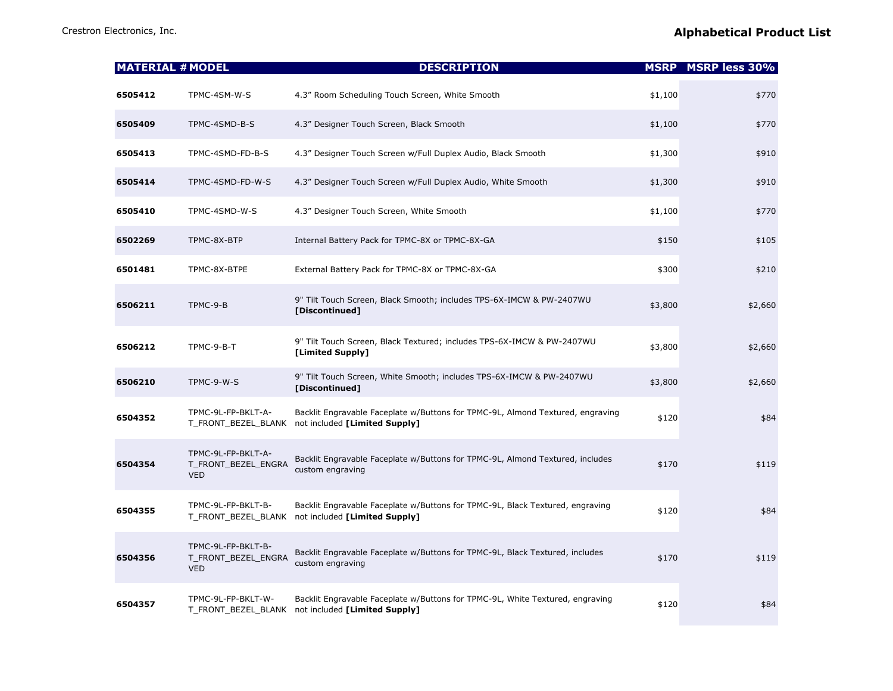| <b>MATERIAL # MODEL</b> |                                                         | <b>DESCRIPTION</b>                                                                                                                  |         | <b>MSRP MSRP less 30%</b> |
|-------------------------|---------------------------------------------------------|-------------------------------------------------------------------------------------------------------------------------------------|---------|---------------------------|
| 6505412                 | TPMC-4SM-W-S                                            | 4.3" Room Scheduling Touch Screen, White Smooth                                                                                     | \$1,100 | \$770                     |
| 6505409                 | TPMC-4SMD-B-S                                           | 4.3" Designer Touch Screen, Black Smooth                                                                                            | \$1,100 | \$770                     |
| 6505413                 | TPMC-4SMD-FD-B-S                                        | 4.3" Designer Touch Screen w/Full Duplex Audio, Black Smooth                                                                        | \$1,300 | \$910                     |
| 6505414                 | TPMC-4SMD-FD-W-S                                        | 4.3" Designer Touch Screen w/Full Duplex Audio, White Smooth                                                                        | \$1,300 | \$910                     |
| 6505410                 | TPMC-4SMD-W-S                                           | 4.3" Designer Touch Screen, White Smooth                                                                                            | \$1,100 | \$770                     |
| 6502269                 | TPMC-8X-BTP                                             | Internal Battery Pack for TPMC-8X or TPMC-8X-GA                                                                                     | \$150   | \$105                     |
| 6501481                 | TPMC-8X-BTPE                                            | External Battery Pack for TPMC-8X or TPMC-8X-GA                                                                                     | \$300   | \$210                     |
| 6506211                 | TPMC-9-B                                                | 9" Tilt Touch Screen, Black Smooth; includes TPS-6X-IMCW & PW-2407WU<br>[Discontinued]                                              | \$3,800 | \$2,660                   |
| 6506212                 | TPMC-9-B-T                                              | 9" Tilt Touch Screen, Black Textured; includes TPS-6X-IMCW & PW-2407WU<br>[Limited Supply]                                          | \$3,800 | \$2,660                   |
| 6506210                 | TPMC-9-W-S                                              | 9" Tilt Touch Screen, White Smooth; includes TPS-6X-IMCW & PW-2407WU<br>[Discontinued]                                              | \$3,800 | \$2,660                   |
| 6504352                 | TPMC-9L-FP-BKLT-A-                                      | Backlit Engravable Faceplate w/Buttons for TPMC-9L, Almond Textured, engraving<br>T_FRONT_BEZEL_BLANK not included [Limited Supply] | \$120   | \$84                      |
| 6504354                 | TPMC-9L-FP-BKLT-A-<br>T_FRONT_BEZEL_ENGRA<br><b>VED</b> | Backlit Engravable Faceplate w/Buttons for TPMC-9L, Almond Textured, includes<br>custom engraving                                   | \$170   | \$119                     |
| 6504355                 | TPMC-9L-FP-BKLT-B-                                      | Backlit Engravable Faceplate w/Buttons for TPMC-9L, Black Textured, engraving<br>T_FRONT_BEZEL_BLANK not included [Limited Supply]  | \$120   | \$84                      |
| 6504356                 | TPMC-9L-FP-BKLT-B-<br>T_FRONT_BEZEL_ENGRA<br><b>VED</b> | Backlit Engravable Faceplate w/Buttons for TPMC-9L, Black Textured, includes<br>custom engraving                                    | \$170   | \$119                     |
| 6504357                 | TPMC-9L-FP-BKLT-W-<br>T FRONT BEZEL BLANK               | Backlit Engravable Faceplate w/Buttons for TPMC-9L, White Textured, engraving<br>not included [Limited Supply]                      | \$120   | \$84                      |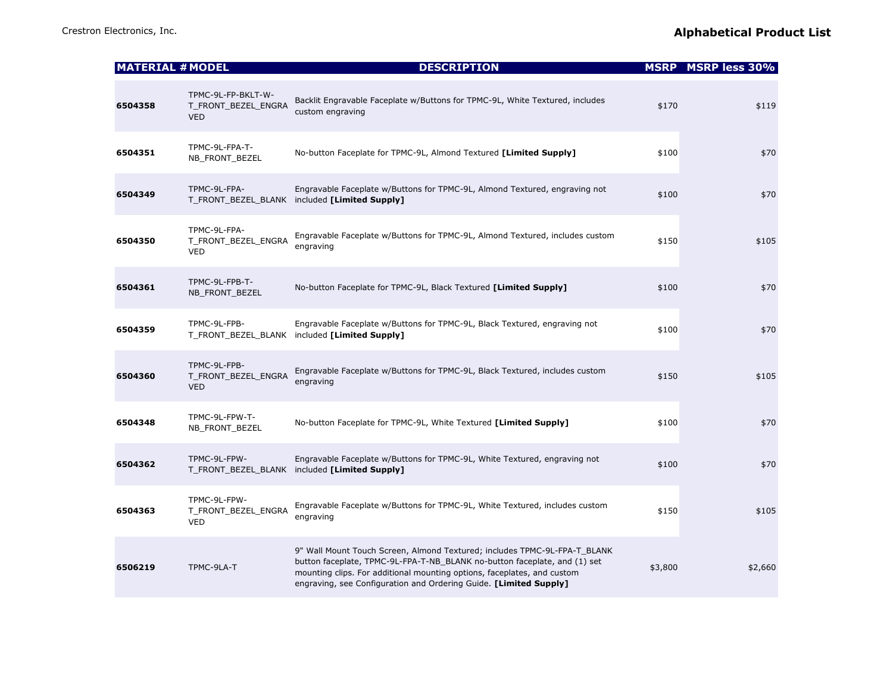| <b>MATERIAL # MODEL</b> |                                                         | <b>DESCRIPTION</b>                                                                                                                                                                                                                                                                                     |         | <b>MSRP</b> MSRP less 30% |
|-------------------------|---------------------------------------------------------|--------------------------------------------------------------------------------------------------------------------------------------------------------------------------------------------------------------------------------------------------------------------------------------------------------|---------|---------------------------|
| 6504358                 | TPMC-9L-FP-BKLT-W-<br>T_FRONT_BEZEL_ENGRA<br><b>VED</b> | Backlit Engravable Faceplate w/Buttons for TPMC-9L, White Textured, includes<br>custom engraving                                                                                                                                                                                                       | \$170   | \$119                     |
| 6504351                 | TPMC-9L-FPA-T-<br>NB_FRONT_BEZEL                        | No-button Faceplate for TPMC-9L, Almond Textured [Limited Supply]                                                                                                                                                                                                                                      | \$100   | \$70                      |
| 6504349                 | TPMC-9L-FPA-                                            | Engravable Faceplate w/Buttons for TPMC-9L, Almond Textured, engraving not<br>T_FRONT_BEZEL_BLANK included [Limited Supply]                                                                                                                                                                            | \$100   | \$70                      |
| 6504350                 | TPMC-9L-FPA-<br>T_FRONT_BEZEL_ENGRA<br><b>VED</b>       | Engravable Faceplate w/Buttons for TPMC-9L, Almond Textured, includes custom<br>engraving                                                                                                                                                                                                              | \$150   | \$105                     |
| 6504361                 | TPMC-9L-FPB-T-<br>NB_FRONT_BEZEL                        | No-button Faceplate for TPMC-9L, Black Textured [Limited Supply]                                                                                                                                                                                                                                       | \$100   | \$70                      |
| 6504359                 | TPMC-9L-FPB-<br>T_FRONT_BEZEL_BLANK                     | Engravable Faceplate w/Buttons for TPMC-9L, Black Textured, engraving not<br>included [Limited Supply]                                                                                                                                                                                                 | \$100   | \$70                      |
| 6504360                 | TPMC-9L-FPB-<br>T_FRONT_BEZEL_ENGRA<br><b>VED</b>       | Engravable Faceplate w/Buttons for TPMC-9L, Black Textured, includes custom<br>engraving                                                                                                                                                                                                               | \$150   | \$105                     |
| 6504348                 | TPMC-9L-FPW-T-<br>NB_FRONT_BEZEL                        | No-button Faceplate for TPMC-9L, White Textured [Limited Supply]                                                                                                                                                                                                                                       | \$100   | \$70                      |
| 6504362                 | TPMC-9L-FPW-                                            | Engravable Faceplate w/Buttons for TPMC-9L, White Textured, engraving not<br>T_FRONT_BEZEL_BLANK included [Limited Supply]                                                                                                                                                                             | \$100   | \$70                      |
| 6504363                 | TPMC-9L-FPW-<br>T_FRONT_BEZEL_ENGRA<br><b>VED</b>       | Engravable Faceplate w/Buttons for TPMC-9L, White Textured, includes custom<br>engraving                                                                                                                                                                                                               | \$150   | \$105                     |
| 6506219                 | TPMC-9LA-T                                              | 9" Wall Mount Touch Screen, Almond Textured; includes TPMC-9L-FPA-T_BLANK<br>button faceplate, TPMC-9L-FPA-T-NB_BLANK no-button faceplate, and (1) set<br>mounting clips. For additional mounting options, faceplates, and custom<br>engraving, see Configuration and Ordering Guide. [Limited Supply] | \$3,800 | \$2,660                   |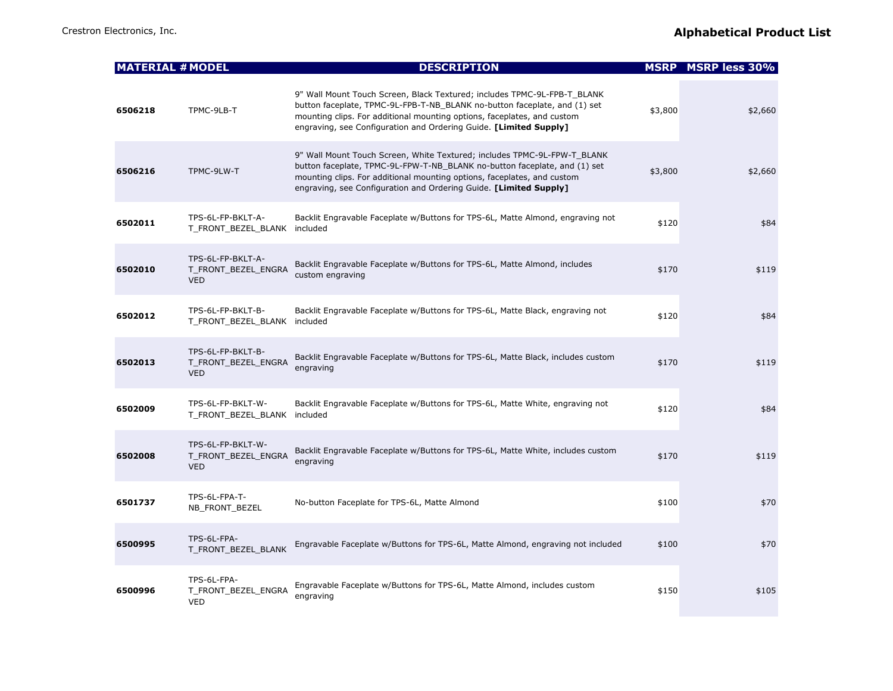| <b>MATERIAL # MODEL</b> |                                                        | <b>DESCRIPTION</b>                                                                                                                                                                                                                                                                                    |         | <b>MSRP MSRP less 30%</b> |
|-------------------------|--------------------------------------------------------|-------------------------------------------------------------------------------------------------------------------------------------------------------------------------------------------------------------------------------------------------------------------------------------------------------|---------|---------------------------|
| 6506218                 | TPMC-9LB-T                                             | 9" Wall Mount Touch Screen, Black Textured; includes TPMC-9L-FPB-T BLANK<br>button faceplate, TPMC-9L-FPB-T-NB_BLANK no-button faceplate, and (1) set<br>mounting clips. For additional mounting options, faceplates, and custom<br>engraving, see Configuration and Ordering Guide. [Limited Supply] | \$3,800 | \$2,660                   |
| 6506216                 | TPMC-9LW-T                                             | 9" Wall Mount Touch Screen, White Textured; includes TPMC-9L-FPW-T_BLANK<br>button faceplate, TPMC-9L-FPW-T-NB_BLANK no-button faceplate, and (1) set<br>mounting clips. For additional mounting options, faceplates, and custom<br>engraving, see Configuration and Ordering Guide. [Limited Supply] | \$3,800 | \$2,660                   |
| 6502011                 | TPS-6L-FP-BKLT-A-<br>T_FRONT_BEZEL_BLANK               | Backlit Engravable Faceplate w/Buttons for TPS-6L, Matte Almond, engraving not<br>included                                                                                                                                                                                                            | \$120   | \$84                      |
| 6502010                 | TPS-6L-FP-BKLT-A-<br>T_FRONT_BEZEL_ENGRA<br><b>VED</b> | Backlit Engravable Faceplate w/Buttons for TPS-6L, Matte Almond, includes<br>custom engraving                                                                                                                                                                                                         | \$170   | \$119                     |
| 6502012                 | TPS-6L-FP-BKLT-B-<br>T_FRONT_BEZEL_BLANK               | Backlit Engravable Faceplate w/Buttons for TPS-6L, Matte Black, engraving not<br>included                                                                                                                                                                                                             | \$120   | \$84                      |
| 6502013                 | TPS-6L-FP-BKLT-B-<br>T_FRONT_BEZEL_ENGRA<br><b>VED</b> | Backlit Engravable Faceplate w/Buttons for TPS-6L, Matte Black, includes custom<br>engraving                                                                                                                                                                                                          | \$170   | \$119                     |
| 6502009                 | TPS-6L-FP-BKLT-W-<br>T FRONT BEZEL BLANK included      | Backlit Engravable Faceplate w/Buttons for TPS-6L, Matte White, engraving not                                                                                                                                                                                                                         | \$120   | \$84                      |
| 6502008                 | TPS-6L-FP-BKLT-W-<br>T_FRONT_BEZEL_ENGRA<br><b>VED</b> | Backlit Engravable Faceplate w/Buttons for TPS-6L, Matte White, includes custom<br>engraving                                                                                                                                                                                                          | \$170   | \$119                     |
| 6501737                 | TPS-6L-FPA-T-<br>NB_FRONT_BEZEL                        | No-button Faceplate for TPS-6L, Matte Almond                                                                                                                                                                                                                                                          | \$100   | \$70                      |
| 6500995                 | TPS-6L-FPA-<br>T_FRONT_BEZEL_BLANK                     | Engravable Faceplate w/Buttons for TPS-6L, Matte Almond, engraving not included                                                                                                                                                                                                                       | \$100   | \$70                      |
| 6500996                 | TPS-6L-FPA-<br>T_FRONT_BEZEL_ENGRA<br><b>VED</b>       | Engravable Faceplate w/Buttons for TPS-6L, Matte Almond, includes custom<br>engraving                                                                                                                                                                                                                 | \$150   | \$105                     |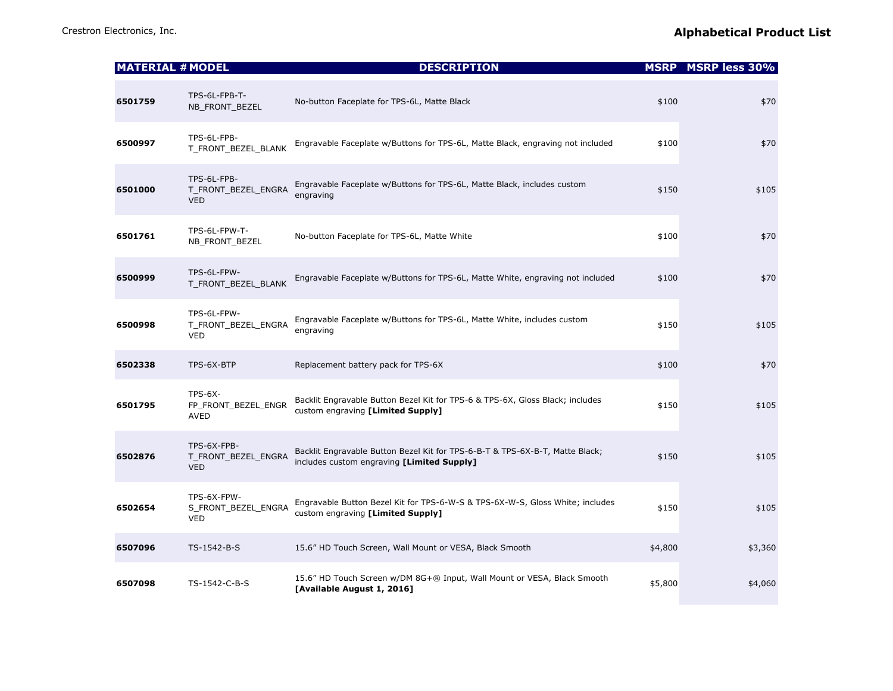| <b>MATERIAL # MODEL</b> |                                                  | <b>DESCRIPTION</b>                                                                                                         |         | <b>MSRP MSRP less 30%</b> |
|-------------------------|--------------------------------------------------|----------------------------------------------------------------------------------------------------------------------------|---------|---------------------------|
| 6501759                 | TPS-6L-FPB-T-<br>NB_FRONT_BEZEL                  | No-button Faceplate for TPS-6L, Matte Black                                                                                | \$100   | \$70                      |
| 6500997                 | TPS-6L-FPB-<br>T FRONT BEZEL BLANK               | Engravable Faceplate w/Buttons for TPS-6L, Matte Black, engraving not included                                             | \$100   | \$70                      |
| 6501000                 | TPS-6L-FPB-<br>T_FRONT_BEZEL_ENGRA<br><b>VED</b> | Engravable Faceplate w/Buttons for TPS-6L, Matte Black, includes custom<br>engraving                                       | \$150   | \$105                     |
| 6501761                 | TPS-6L-FPW-T-<br>NB_FRONT_BEZEL                  | No-button Faceplate for TPS-6L, Matte White                                                                                | \$100   | \$70                      |
| 6500999                 | TPS-6L-FPW-<br>T_FRONT_BEZEL_BLANK               | Engravable Faceplate w/Buttons for TPS-6L, Matte White, engraving not included                                             | \$100   | \$70                      |
| 6500998                 | TPS-6L-FPW-<br>T_FRONT_BEZEL_ENGRA<br><b>VED</b> | Engravable Faceplate w/Buttons for TPS-6L, Matte White, includes custom<br>engraving                                       | \$150   | \$105                     |
| 6502338                 | TPS-6X-BTP                                       | Replacement battery pack for TPS-6X                                                                                        | \$100   | \$70                      |
| 6501795                 | $TPS-6X-$<br>FP_FRONT_BEZEL_ENGR<br>AVED         | Backlit Engravable Button Bezel Kit for TPS-6 & TPS-6X, Gloss Black; includes<br>custom engraving [Limited Supply]         | \$150   | \$105                     |
| 6502876                 | TPS-6X-FPB-<br>T_FRONT_BEZEL_ENGRA<br><b>VED</b> | Backlit Engravable Button Bezel Kit for TPS-6-B-T & TPS-6X-B-T, Matte Black;<br>includes custom engraving [Limited Supply] | \$150   | \$105                     |
| 6502654                 | TPS-6X-FPW-<br>S_FRONT_BEZEL_ENGRA<br><b>VED</b> | Engravable Button Bezel Kit for TPS-6-W-S & TPS-6X-W-S, Gloss White; includes<br>custom engraving [Limited Supply]         | \$150   | \$105                     |
| 6507096                 | TS-1542-B-S                                      | 15.6" HD Touch Screen, Wall Mount or VESA, Black Smooth                                                                    | \$4,800 | \$3,360                   |
| 6507098                 | TS-1542-C-B-S                                    | 15.6" HD Touch Screen w/DM 8G+® Input, Wall Mount or VESA, Black Smooth<br>[Available August 1, 2016]                      | \$5,800 | \$4,060                   |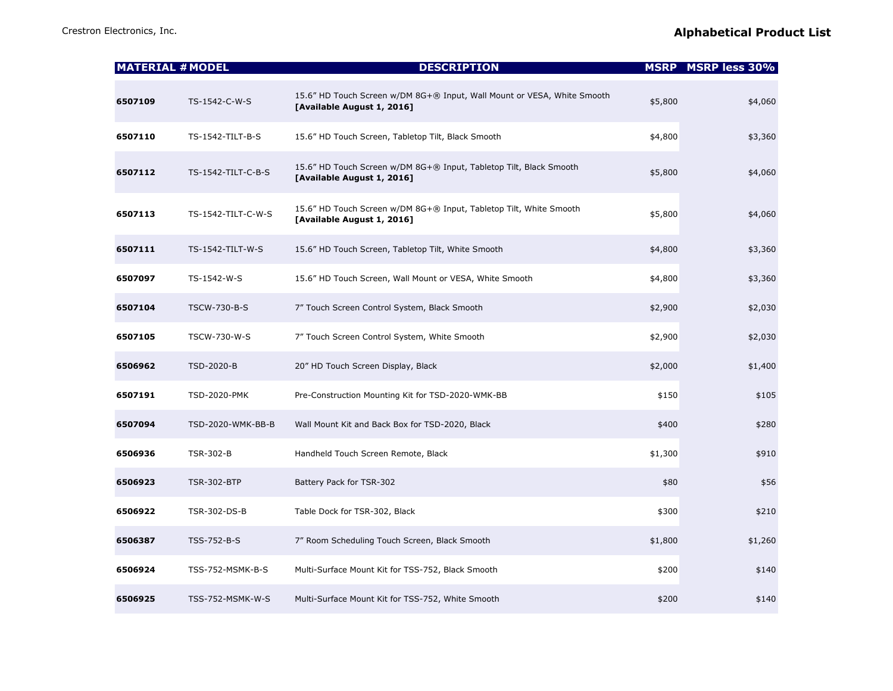|         | <b>MATERIAL # MODEL</b> | <b>DESCRIPTION</b>                                                                                    |         | <b>MSRP</b> MSRP less 30% |
|---------|-------------------------|-------------------------------------------------------------------------------------------------------|---------|---------------------------|
| 6507109 | TS-1542-C-W-S           | 15.6" HD Touch Screen w/DM 8G+® Input, Wall Mount or VESA, White Smooth<br>[Available August 1, 2016] | \$5,800 | \$4,060                   |
| 6507110 | TS-1542-TILT-B-S        | 15.6" HD Touch Screen, Tabletop Tilt, Black Smooth                                                    | \$4,800 | \$3,360                   |
| 6507112 | TS-1542-TILT-C-B-S      | 15.6" HD Touch Screen w/DM 8G+® Input, Tabletop Tilt, Black Smooth<br>[Available August 1, 2016]      | \$5,800 | \$4,060                   |
| 6507113 | TS-1542-TILT-C-W-S      | 15.6" HD Touch Screen w/DM 8G+® Input, Tabletop Tilt, White Smooth<br>[Available August 1, 2016]      | \$5,800 | \$4,060                   |
| 6507111 | TS-1542-TILT-W-S        | 15.6" HD Touch Screen, Tabletop Tilt, White Smooth                                                    | \$4,800 | \$3,360                   |
| 6507097 | TS-1542-W-S             | 15.6" HD Touch Screen, Wall Mount or VESA, White Smooth                                               | \$4,800 | \$3,360                   |
| 6507104 | TSCW-730-B-S            | 7" Touch Screen Control System, Black Smooth                                                          | \$2,900 | \$2,030                   |
| 6507105 | TSCW-730-W-S            | 7" Touch Screen Control System, White Smooth                                                          | \$2,900 | \$2,030                   |
| 6506962 | TSD-2020-B              | 20" HD Touch Screen Display, Black                                                                    | \$2,000 | \$1,400                   |
| 6507191 | <b>TSD-2020-PMK</b>     | Pre-Construction Mounting Kit for TSD-2020-WMK-BB                                                     | \$150   | \$105                     |
| 6507094 | TSD-2020-WMK-BB-B       | Wall Mount Kit and Back Box for TSD-2020, Black                                                       | \$400   | \$280                     |
| 6506936 | <b>TSR-302-B</b>        | Handheld Touch Screen Remote, Black                                                                   | \$1,300 | \$910                     |
| 6506923 | <b>TSR-302-BTP</b>      | Battery Pack for TSR-302                                                                              | \$80    | \$56                      |
| 6506922 | TSR-302-DS-B            | Table Dock for TSR-302, Black                                                                         | \$300   | \$210                     |
| 6506387 | TSS-752-B-S             | 7" Room Scheduling Touch Screen, Black Smooth                                                         | \$1,800 | \$1,260                   |
| 6506924 | TSS-752-MSMK-B-S        | Multi-Surface Mount Kit for TSS-752, Black Smooth                                                     | \$200   | \$140                     |
| 6506925 | TSS-752-MSMK-W-S        | Multi-Surface Mount Kit for TSS-752, White Smooth                                                     | \$200   | \$140                     |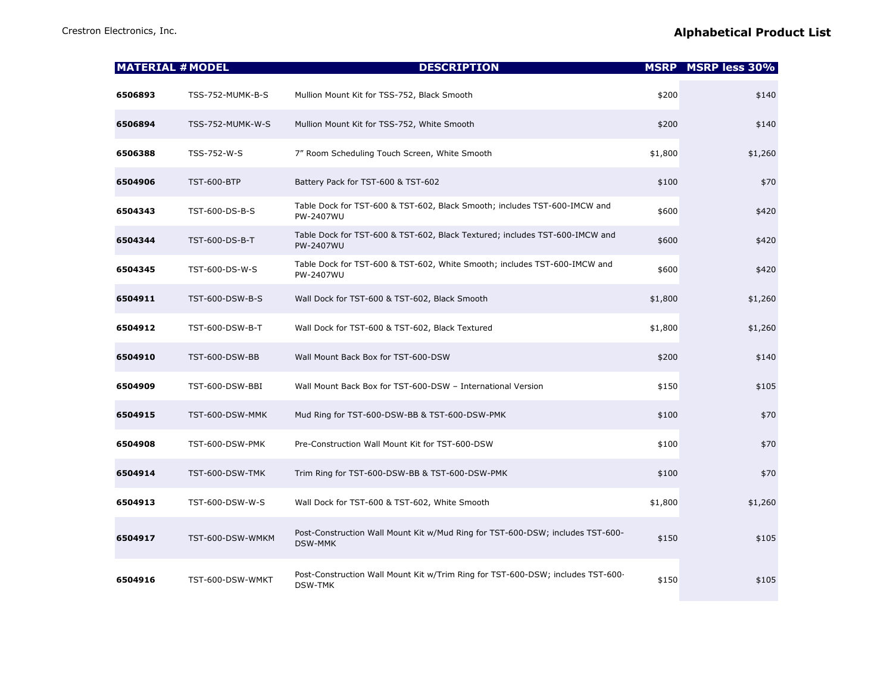|         | <b>MATERIAL # MODEL</b> | <b>DESCRIPTION</b>                                                                               |         | <b>MSRP</b> MSRP less 30% |
|---------|-------------------------|--------------------------------------------------------------------------------------------------|---------|---------------------------|
| 6506893 | TSS-752-MUMK-B-S        | Mullion Mount Kit for TSS-752, Black Smooth                                                      | \$200   | \$140                     |
| 6506894 | TSS-752-MUMK-W-S        | Mullion Mount Kit for TSS-752, White Smooth                                                      | \$200   | \$140                     |
| 6506388 | TSS-752-W-S             | 7" Room Scheduling Touch Screen, White Smooth                                                    | \$1,800 | \$1,260                   |
| 6504906 | <b>TST-600-BTP</b>      | Battery Pack for TST-600 & TST-602                                                               | \$100   | \$70                      |
| 6504343 | TST-600-DS-B-S          | Table Dock for TST-600 & TST-602, Black Smooth; includes TST-600-IMCW and<br>PW-2407WU           | \$600   | \$420                     |
| 6504344 | TST-600-DS-B-T          | Table Dock for TST-600 & TST-602, Black Textured; includes TST-600-IMCW and<br>PW-2407WU         | \$600   | \$420                     |
| 6504345 | TST-600-DS-W-S          | Table Dock for TST-600 & TST-602, White Smooth; includes TST-600-IMCW and<br>PW-2407WU           | \$600   | \$420                     |
| 6504911 | TST-600-DSW-B-S         | Wall Dock for TST-600 & TST-602, Black Smooth                                                    | \$1,800 | \$1,260                   |
| 6504912 | TST-600-DSW-B-T         | Wall Dock for TST-600 & TST-602, Black Textured                                                  | \$1,800 | \$1,260                   |
| 6504910 | TST-600-DSW-BB          | Wall Mount Back Box for TST-600-DSW                                                              | \$200   | \$140                     |
| 6504909 | TST-600-DSW-BBI         | Wall Mount Back Box for TST-600-DSW - International Version                                      | \$150   | \$105                     |
| 6504915 | TST-600-DSW-MMK         | Mud Ring for TST-600-DSW-BB & TST-600-DSW-PMK                                                    | \$100   | \$70                      |
| 6504908 | TST-600-DSW-PMK         | Pre-Construction Wall Mount Kit for TST-600-DSW                                                  | \$100   | \$70                      |
| 6504914 | TST-600-DSW-TMK         | Trim Ring for TST-600-DSW-BB & TST-600-DSW-PMK                                                   | \$100   | \$70                      |
| 6504913 | TST-600-DSW-W-S         | Wall Dock for TST-600 & TST-602, White Smooth                                                    | \$1,800 | \$1,260                   |
| 6504917 | TST-600-DSW-WMKM        | Post-Construction Wall Mount Kit w/Mud Ring for TST-600-DSW; includes TST-600-<br><b>DSW-MMK</b> | \$150   | \$105                     |
| 6504916 | TST-600-DSW-WMKT        | Post-Construction Wall Mount Kit w/Trim Ring for TST-600-DSW; includes TST-600-<br>DSW-TMK       | \$150   | \$105                     |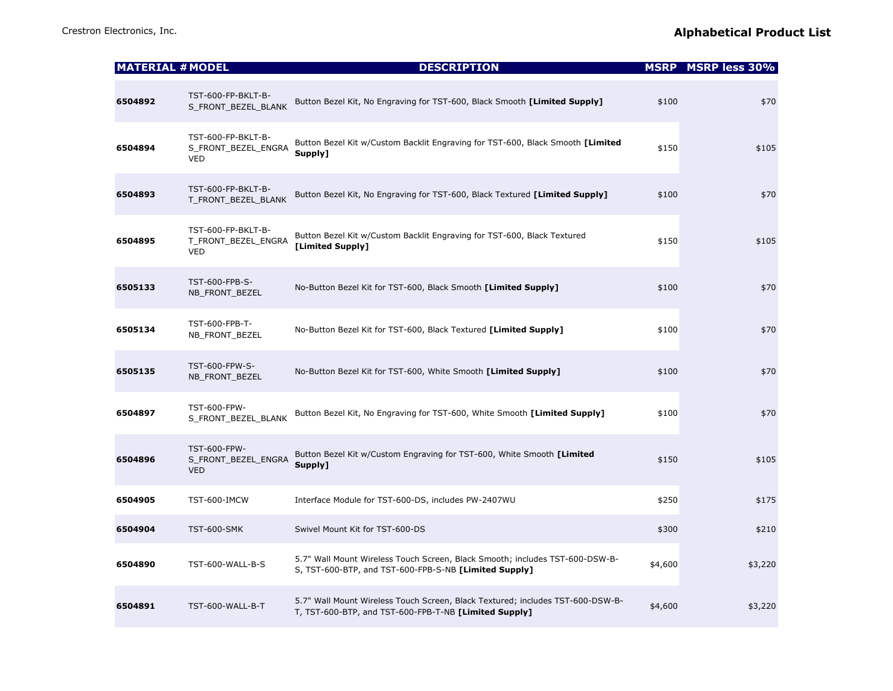|  | <b>Alphabetical Product List</b> |
|--|----------------------------------|
|--|----------------------------------|

| <b>MATERIAL # MODEL</b> |                                                         | <b>DESCRIPTION</b>                                                                                                                      |         | <b>MSRP MSRP less 30%</b> |
|-------------------------|---------------------------------------------------------|-----------------------------------------------------------------------------------------------------------------------------------------|---------|---------------------------|
| 6504892                 | TST-600-FP-BKLT-B-<br>S_FRONT_BEZEL_BLANK               | Button Bezel Kit, No Engraving for TST-600, Black Smooth [Limited Supply]                                                               | \$100   | \$70                      |
| 6504894                 | TST-600-FP-BKLT-B-<br>S_FRONT_BEZEL_ENGRA<br><b>VED</b> | Button Bezel Kit w/Custom Backlit Engraving for TST-600, Black Smooth [Limited<br>Supply1                                               | \$150   | \$105                     |
| 6504893                 | TST-600-FP-BKLT-B-<br>T_FRONT_BEZEL_BLANK               | Button Bezel Kit, No Engraving for TST-600, Black Textured [Limited Supply]                                                             | \$100   | \$70                      |
| 6504895                 | TST-600-FP-BKLT-B-<br>T_FRONT_BEZEL_ENGRA<br><b>VED</b> | Button Bezel Kit w/Custom Backlit Engraving for TST-600, Black Textured<br>[Limited Supply]                                             | \$150   | \$105                     |
| 6505133                 | TST-600-FPB-S-<br>NB_FRONT_BEZEL                        | No-Button Bezel Kit for TST-600, Black Smooth [Limited Supply]                                                                          | \$100   | \$70                      |
| 6505134                 | TST-600-FPB-T-<br>NB_FRONT_BEZEL                        | No-Button Bezel Kit for TST-600, Black Textured [Limited Supply]                                                                        | \$100   | \$70                      |
| 6505135                 | TST-600-FPW-S-<br>NB_FRONT_BEZEL                        | No-Button Bezel Kit for TST-600, White Smooth [Limited Supply]                                                                          | \$100   | \$70                      |
| 6504897                 | TST-600-FPW-<br>S_FRONT_BEZEL_BLANK                     | Button Bezel Kit, No Engraving for TST-600, White Smooth [Limited Supply]                                                               | \$100   | \$70                      |
| 6504896                 | TST-600-FPW-<br>S_FRONT_BEZEL_ENGRA<br><b>VED</b>       | Button Bezel Kit w/Custom Engraving for TST-600, White Smooth [Limited<br>Supply]                                                       | \$150   | \$105                     |
| 6504905                 | TST-600-IMCW                                            | Interface Module for TST-600-DS, includes PW-2407WU                                                                                     | \$250   | \$175                     |
| 6504904                 | <b>TST-600-SMK</b>                                      | Swivel Mount Kit for TST-600-DS                                                                                                         | \$300   | \$210                     |
| 6504890                 | TST-600-WALL-B-S                                        | 5.7" Wall Mount Wireless Touch Screen, Black Smooth; includes TST-600-DSW-B-<br>S, TST-600-BTP, and TST-600-FPB-S-NB [Limited Supply]   | \$4,600 | \$3,220                   |
| 6504891                 | TST-600-WALL-B-T                                        | 5.7" Wall Mount Wireless Touch Screen, Black Textured; includes TST-600-DSW-B-<br>T, TST-600-BTP, and TST-600-FPB-T-NB [Limited Supply] | \$4,600 | \$3,220                   |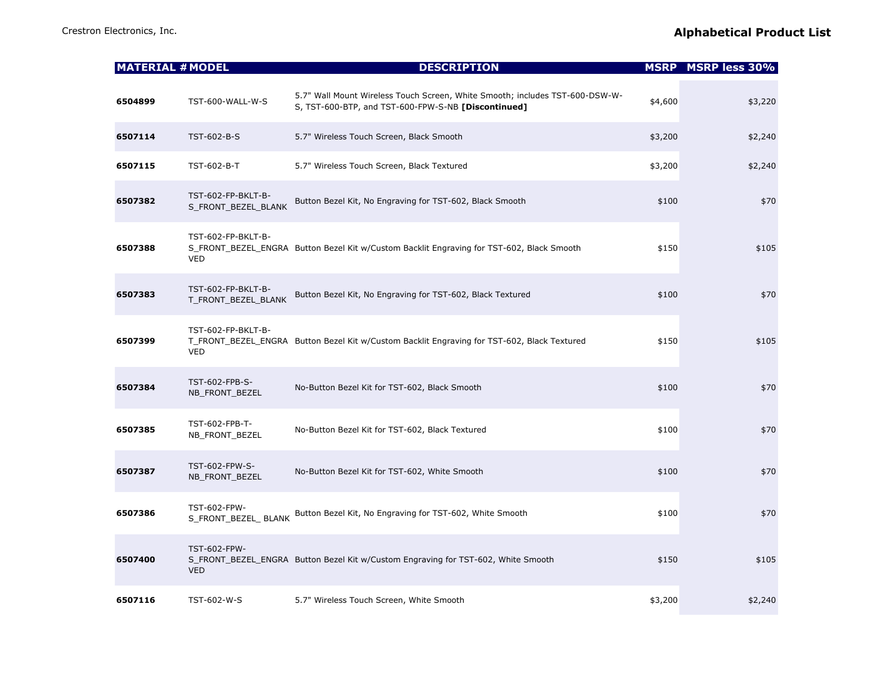| Crestron Electronics, Inc. | <b>Alphabetical Product List</b> |
|----------------------------|----------------------------------|
|                            |                                  |

| Crestron Electronics, Inc. |  |
|----------------------------|--|
|                            |  |

| <b>MATERIAL # MODEL</b> |                                           | <b>DESCRIPTION</b>                                                                                                                  |         | <b>MSRP</b> MSRP less 30% |
|-------------------------|-------------------------------------------|-------------------------------------------------------------------------------------------------------------------------------------|---------|---------------------------|
| 6504899                 | TST-600-WALL-W-S                          | 5.7" Wall Mount Wireless Touch Screen, White Smooth; includes TST-600-DSW-W-<br>S, TST-600-BTP, and TST-600-FPW-S-NB [Discontinued] | \$4,600 | \$3,220                   |
| 6507114                 | TST-602-B-S                               | 5.7" Wireless Touch Screen, Black Smooth                                                                                            | \$3,200 | \$2,240                   |
| 6507115                 | TST-602-B-T                               | 5.7" Wireless Touch Screen, Black Textured                                                                                          | \$3,200 | \$2,240                   |
| 6507382                 | TST-602-FP-BKLT-B-<br>S_FRONT_BEZEL_BLANK | Button Bezel Kit, No Engraving for TST-602, Black Smooth                                                                            | \$100   | \$70                      |
| 6507388                 | TST-602-FP-BKLT-B-<br><b>VED</b>          | S_FRONT_BEZEL_ENGRA_Button Bezel Kit w/Custom Backlit Engraving for TST-602, Black Smooth                                           | \$150   | \$105                     |
| 6507383                 | TST-602-FP-BKLT-B-<br>T_FRONT_BEZEL_BLANK | Button Bezel Kit, No Engraving for TST-602, Black Textured                                                                          | \$100   | \$70                      |
| 6507399                 | TST-602-FP-BKLT-B-<br><b>VED</b>          | T_FRONT_BEZEL_ENGRA Button Bezel Kit w/Custom Backlit Engraving for TST-602, Black Textured                                         | \$150   | \$105                     |
| 6507384                 | TST-602-FPB-S-<br>NB_FRONT_BEZEL          | No-Button Bezel Kit for TST-602, Black Smooth                                                                                       | \$100   | \$70                      |
| 6507385                 | TST-602-FPB-T-<br>NB_FRONT_BEZEL          | No-Button Bezel Kit for TST-602, Black Textured                                                                                     | \$100   | \$70                      |
| 6507387                 | TST-602-FPW-S-<br>NB_FRONT_BEZEL          | No-Button Bezel Kit for TST-602, White Smooth                                                                                       | \$100   | \$70                      |
| 6507386                 | TST-602-FPW-<br>S_FRONT_BEZEL_ BLANK      | Button Bezel Kit, No Engraving for TST-602, White Smooth                                                                            | \$100   | \$70                      |
| 6507400                 | <b>TST-602-FPW-</b><br><b>VED</b>         | S_FRONT_BEZEL_ENGRA_Button Bezel Kit w/Custom Engraving for TST-602, White Smooth                                                   | \$150   | \$105                     |
| 6507116                 | TST-602-W-S                               | 5.7" Wireless Touch Screen, White Smooth                                                                                            | \$3,200 | \$2,240                   |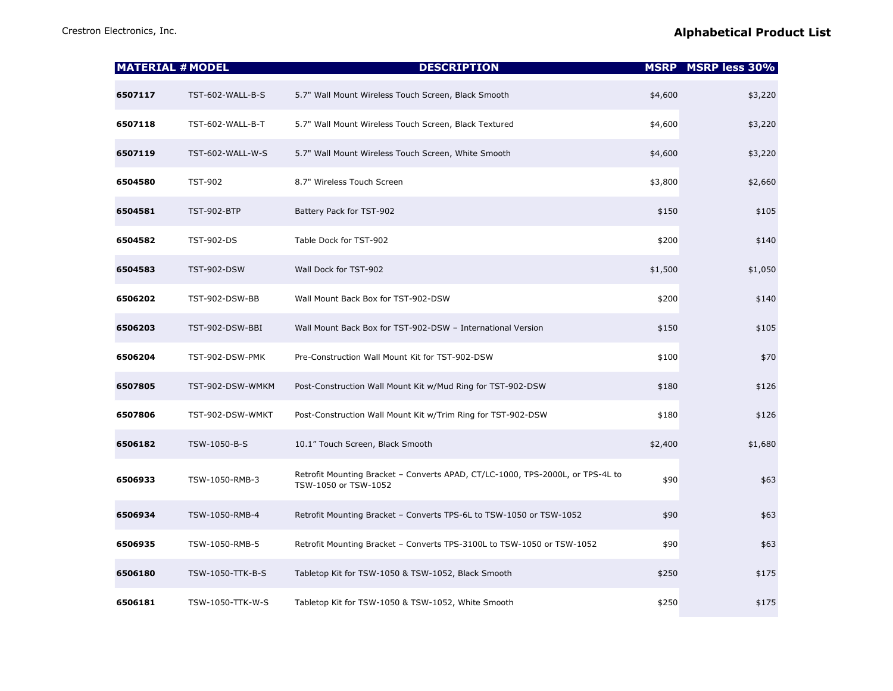| <b>MATERIAL # MODEL</b> |                    | <b>DESCRIPTION</b>                                                                                     |         | <b>MSRP MSRP less 30%</b> |
|-------------------------|--------------------|--------------------------------------------------------------------------------------------------------|---------|---------------------------|
| 6507117                 | TST-602-WALL-B-S   | 5.7" Wall Mount Wireless Touch Screen, Black Smooth                                                    | \$4,600 | \$3,220                   |
| 6507118                 | TST-602-WALL-B-T   | 5.7" Wall Mount Wireless Touch Screen, Black Textured                                                  | \$4,600 | \$3,220                   |
| 6507119                 | TST-602-WALL-W-S   | 5.7" Wall Mount Wireless Touch Screen, White Smooth                                                    | \$4,600 | \$3,220                   |
| 6504580                 | <b>TST-902</b>     | 8.7" Wireless Touch Screen                                                                             | \$3,800 | \$2,660                   |
| 6504581                 | <b>TST-902-BTP</b> | Battery Pack for TST-902                                                                               | \$150   | \$105                     |
| 6504582                 | <b>TST-902-DS</b>  | Table Dock for TST-902                                                                                 | \$200   | \$140                     |
| 6504583                 | <b>TST-902-DSW</b> | Wall Dock for TST-902                                                                                  | \$1,500 | \$1,050                   |
| 6506202                 | TST-902-DSW-BB     | Wall Mount Back Box for TST-902-DSW                                                                    | \$200   | \$140                     |
| 6506203                 | TST-902-DSW-BBI    | Wall Mount Back Box for TST-902-DSW - International Version                                            | \$150   | \$105                     |
| 6506204                 | TST-902-DSW-PMK    | Pre-Construction Wall Mount Kit for TST-902-DSW                                                        | \$100   | \$70                      |
| 6507805                 | TST-902-DSW-WMKM   | Post-Construction Wall Mount Kit w/Mud Ring for TST-902-DSW                                            | \$180   | \$126                     |
| 6507806                 | TST-902-DSW-WMKT   | Post-Construction Wall Mount Kit w/Trim Ring for TST-902-DSW                                           | \$180   | \$126                     |
| 6506182                 | TSW-1050-B-S       | 10.1" Touch Screen, Black Smooth                                                                       | \$2,400 | \$1,680                   |
| 6506933                 | TSW-1050-RMB-3     | Retrofit Mounting Bracket - Converts APAD, CT/LC-1000, TPS-2000L, or TPS-4L to<br>TSW-1050 or TSW-1052 | \$90    | \$63                      |
| 6506934                 | TSW-1050-RMB-4     | Retrofit Mounting Bracket - Converts TPS-6L to TSW-1050 or TSW-1052                                    | \$90    | \$63                      |
| 6506935                 | TSW-1050-RMB-5     | Retrofit Mounting Bracket - Converts TPS-3100L to TSW-1050 or TSW-1052                                 | \$90    | \$63                      |
| 6506180                 | TSW-1050-TTK-B-S   | Tabletop Kit for TSW-1050 & TSW-1052, Black Smooth                                                     | \$250   | \$175                     |
| 6506181                 | TSW-1050-TTK-W-S   | Tabletop Kit for TSW-1050 & TSW-1052, White Smooth                                                     | \$250   | \$175                     |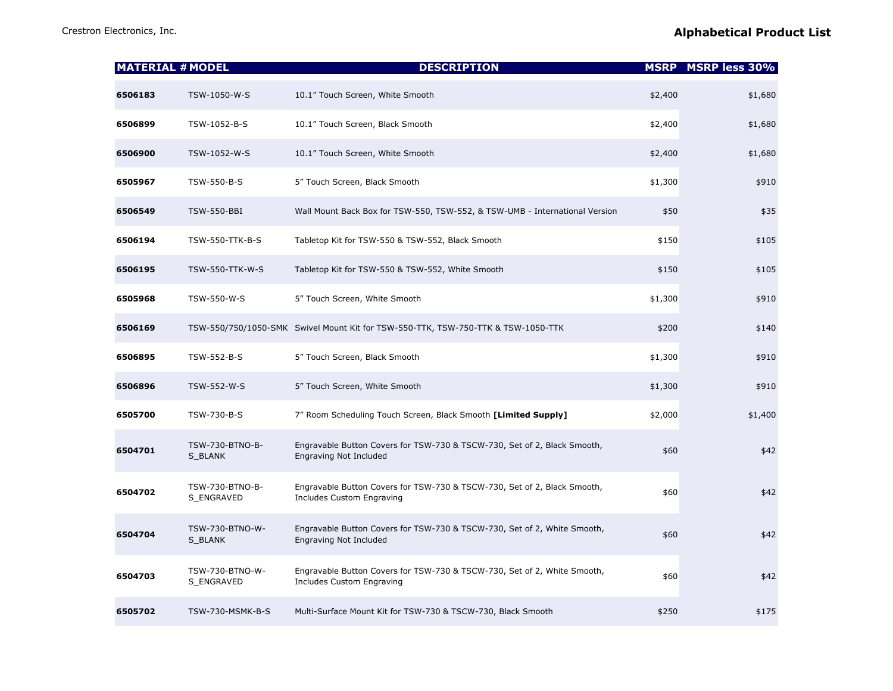| <b>MATERIAL # MODEL</b> |                               | <b>DESCRIPTION</b>                                                                                    |         | <b>MSRP MSRP less 30%</b> |
|-------------------------|-------------------------------|-------------------------------------------------------------------------------------------------------|---------|---------------------------|
| 6506183                 | TSW-1050-W-S                  | 10.1" Touch Screen, White Smooth                                                                      | \$2,400 | \$1,680                   |
| 6506899                 | TSW-1052-B-S                  | 10.1" Touch Screen, Black Smooth                                                                      | \$2,400 | \$1,680                   |
| 6506900                 | TSW-1052-W-S                  | 10.1" Touch Screen, White Smooth                                                                      | \$2,400 | \$1,680                   |
| 6505967                 | TSW-550-B-S                   | 5" Touch Screen, Black Smooth                                                                         | \$1,300 | \$910                     |
| 6506549                 | <b>TSW-550-BBI</b>            | Wall Mount Back Box for TSW-550, TSW-552, & TSW-UMB - International Version                           | \$50    | \$35                      |
| 6506194                 | TSW-550-TTK-B-S               | Tabletop Kit for TSW-550 & TSW-552, Black Smooth                                                      | \$150   | \$105                     |
| 6506195                 | TSW-550-TTK-W-S               | Tabletop Kit for TSW-550 & TSW-552, White Smooth                                                      | \$150   | \$105                     |
| 6505968                 | TSW-550-W-S                   | 5" Touch Screen, White Smooth                                                                         | \$1,300 | \$910                     |
| 6506169                 |                               | TSW-550/750/1050-SMK Swivel Mount Kit for TSW-550-TTK, TSW-750-TTK & TSW-1050-TTK                     | \$200   | \$140                     |
| 6506895                 | TSW-552-B-S                   | 5" Touch Screen, Black Smooth                                                                         | \$1,300 | \$910                     |
| 6506896                 | TSW-552-W-S                   | 5" Touch Screen, White Smooth                                                                         | \$1,300 | \$910                     |
| 6505700                 | TSW-730-B-S                   | 7" Room Scheduling Touch Screen, Black Smooth [Limited Supply]                                        | \$2,000 | \$1,400                   |
| 6504701                 | TSW-730-BTNO-B-<br>S_BLANK    | Engravable Button Covers for TSW-730 & TSCW-730, Set of 2, Black Smooth,<br>Engraving Not Included    | \$60    | \$42                      |
| 6504702                 | TSW-730-BTNO-B-<br>S_ENGRAVED | Engravable Button Covers for TSW-730 & TSCW-730, Set of 2, Black Smooth,<br>Includes Custom Engraving | \$60    | \$42                      |
| 6504704                 | TSW-730-BTNO-W-<br>S_BLANK    | Engravable Button Covers for TSW-730 & TSCW-730, Set of 2, White Smooth,<br>Engraving Not Included    | \$60    | \$42                      |
| 6504703                 | TSW-730-BTNO-W-<br>S_ENGRAVED | Engravable Button Covers for TSW-730 & TSCW-730, Set of 2, White Smooth,<br>Includes Custom Engraving | \$60    | \$42                      |
| 6505702                 | TSW-730-MSMK-B-S              | Multi-Surface Mount Kit for TSW-730 & TSCW-730, Black Smooth                                          | \$250   | \$175                     |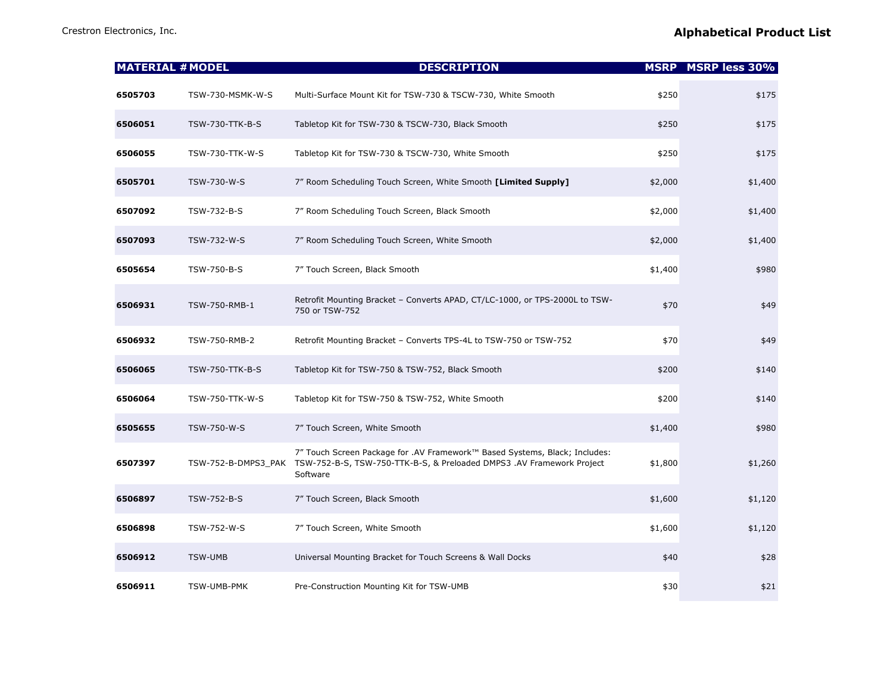| <b>MATERIAL # MODEL</b> |                     | <b>DESCRIPTION</b>                                                                                                                                              |         | <b>MSRP MSRP less 30%</b> |
|-------------------------|---------------------|-----------------------------------------------------------------------------------------------------------------------------------------------------------------|---------|---------------------------|
| 6505703                 | TSW-730-MSMK-W-S    | Multi-Surface Mount Kit for TSW-730 & TSCW-730, White Smooth                                                                                                    | \$250   | \$175                     |
| 6506051                 | TSW-730-TTK-B-S     | Tabletop Kit for TSW-730 & TSCW-730, Black Smooth                                                                                                               | \$250   | \$175                     |
| 6506055                 | TSW-730-TTK-W-S     | Tabletop Kit for TSW-730 & TSCW-730, White Smooth                                                                                                               | \$250   | \$175                     |
| 6505701                 | TSW-730-W-S         | 7" Room Scheduling Touch Screen, White Smooth [Limited Supply]                                                                                                  | \$2,000 | \$1,400                   |
| 6507092                 | TSW-732-B-S         | 7" Room Scheduling Touch Screen, Black Smooth                                                                                                                   | \$2,000 | \$1,400                   |
| 6507093                 | TSW-732-W-S         | 7" Room Scheduling Touch Screen, White Smooth                                                                                                                   | \$2,000 | \$1,400                   |
| 6505654                 | TSW-750-B-S         | 7" Touch Screen, Black Smooth                                                                                                                                   | \$1,400 | \$980                     |
| 6506931                 | TSW-750-RMB-1       | Retrofit Mounting Bracket - Converts APAD, CT/LC-1000, or TPS-2000L to TSW-<br>750 or TSW-752                                                                   | \$70    | \$49                      |
| 6506932                 | TSW-750-RMB-2       | Retrofit Mounting Bracket - Converts TPS-4L to TSW-750 or TSW-752                                                                                               | \$70    | \$49                      |
| 6506065                 | TSW-750-TTK-B-S     | Tabletop Kit for TSW-750 & TSW-752, Black Smooth                                                                                                                | \$200   | \$140                     |
| 6506064                 | TSW-750-TTK-W-S     | Tabletop Kit for TSW-750 & TSW-752, White Smooth                                                                                                                | \$200   | \$140                     |
| 6505655                 | TSW-750-W-S         | 7" Touch Screen, White Smooth                                                                                                                                   | \$1,400 | \$980                     |
| 6507397                 | TSW-752-B-DMPS3_PAK | 7" Touch Screen Package for .AV Framework™ Based Systems, Black; Includes:<br>TSW-752-B-S, TSW-750-TTK-B-S, & Preloaded DMPS3 .AV Framework Project<br>Software | \$1,800 | \$1,260                   |
| 6506897                 | TSW-752-B-S         | 7" Touch Screen, Black Smooth                                                                                                                                   | \$1,600 | \$1,120                   |
| 6506898                 | TSW-752-W-S         | 7" Touch Screen, White Smooth                                                                                                                                   | \$1,600 | \$1,120                   |
| 6506912                 | <b>TSW-UMB</b>      | Universal Mounting Bracket for Touch Screens & Wall Docks                                                                                                       | \$40    | \$28                      |
| 6506911                 | TSW-UMB-PMK         | Pre-Construction Mounting Kit for TSW-UMB                                                                                                                       | \$30    | \$21                      |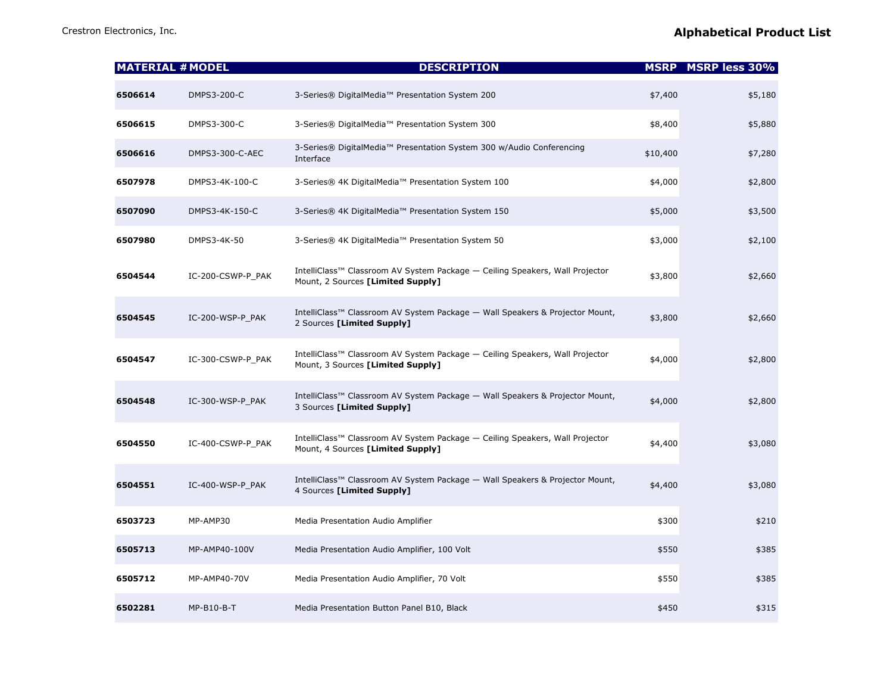|         | <b>MATERIAL # MODEL</b> | <b>DESCRIPTION</b>                                                                                                |          | <b>MSRP MSRP less 30%</b> |
|---------|-------------------------|-------------------------------------------------------------------------------------------------------------------|----------|---------------------------|
| 6506614 | DMPS3-200-C             | 3-Series® DigitalMedia™ Presentation System 200                                                                   | \$7,400  | \$5,180                   |
| 6506615 | DMPS3-300-C             | 3-Series® DigitalMedia™ Presentation System 300                                                                   | \$8,400  | \$5,880                   |
| 6506616 | DMPS3-300-C-AEC         | 3-Series® DigitalMedia™ Presentation System 300 w/Audio Conferencing<br>Interface                                 | \$10,400 | \$7,280                   |
| 6507978 | DMPS3-4K-100-C          | 3-Series® 4K DigitalMedia™ Presentation System 100                                                                | \$4,000  | \$2,800                   |
| 6507090 | DMPS3-4K-150-C          | 3-Series® 4K DigitalMedia™ Presentation System 150                                                                | \$5,000  | \$3,500                   |
| 6507980 | DMPS3-4K-50             | 3-Series® 4K DigitalMedia™ Presentation System 50                                                                 | \$3,000  | \$2,100                   |
| 6504544 | IC-200-CSWP-P_PAK       | IntelliClass™ Classroom AV System Package - Ceiling Speakers, Wall Projector<br>Mount, 2 Sources [Limited Supply] | \$3,800  | \$2,660                   |
| 6504545 | IC-200-WSP-P_PAK        | IntelliClass™ Classroom AV System Package - Wall Speakers & Projector Mount,<br>2 Sources [Limited Supply]        | \$3,800  | \$2,660                   |
| 6504547 | IC-300-CSWP-P_PAK       | IntelliClass™ Classroom AV System Package — Ceiling Speakers, Wall Projector<br>Mount, 3 Sources [Limited Supply] | \$4,000  | \$2,800                   |
| 6504548 | IC-300-WSP-P_PAK        | IntelliClass™ Classroom AV System Package - Wall Speakers & Projector Mount,<br>3 Sources [Limited Supply]        | \$4,000  | \$2,800                   |
| 6504550 | IC-400-CSWP-P_PAK       | IntelliClass™ Classroom AV System Package — Ceiling Speakers, Wall Projector<br>Mount, 4 Sources [Limited Supply] | \$4,400  | \$3,080                   |
| 6504551 | IC-400-WSP-P_PAK        | IntelliClass™ Classroom AV System Package - Wall Speakers & Projector Mount,<br>4 Sources [Limited Supply]        | \$4,400  | \$3,080                   |
| 6503723 | MP-AMP30                | Media Presentation Audio Amplifier                                                                                | \$300    | \$210                     |
| 6505713 | MP-AMP40-100V           | Media Presentation Audio Amplifier, 100 Volt                                                                      | \$550    | \$385                     |
| 6505712 | MP-AMP40-70V            | Media Presentation Audio Amplifier, 70 Volt                                                                       | \$550    | \$385                     |
| 6502281 | $MP-B10-B-T$            | Media Presentation Button Panel B10, Black                                                                        | \$450    | \$315                     |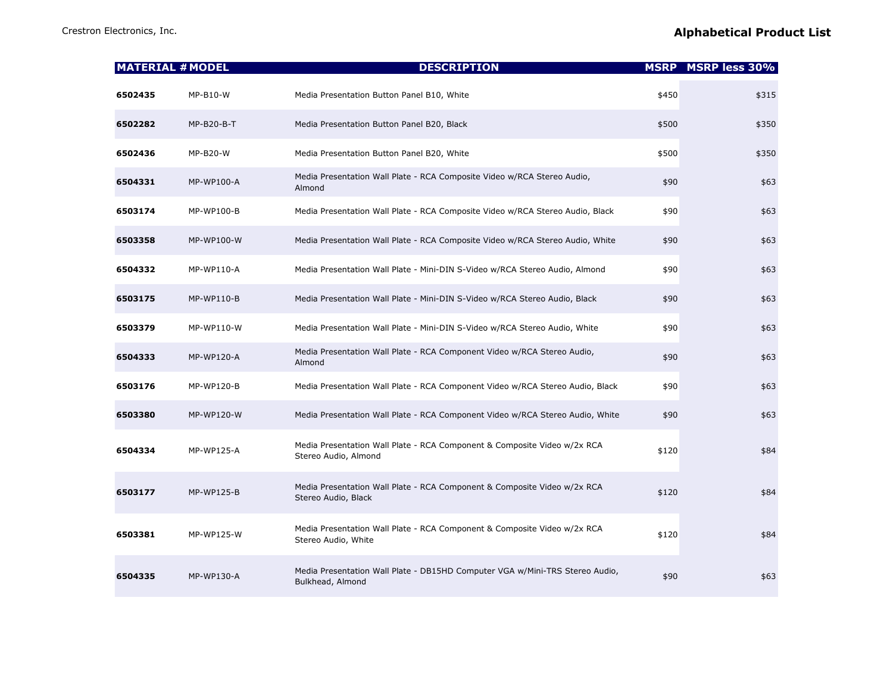| <b>MATERIAL # MODEL</b> |                   | <b>DESCRIPTION</b>                                                                               |       | <b>MSRP</b> MSRP less 30% |
|-------------------------|-------------------|--------------------------------------------------------------------------------------------------|-------|---------------------------|
| 6502435                 | MP-B10-W          | Media Presentation Button Panel B10, White                                                       | \$450 | \$315                     |
| 6502282                 | MP-B20-B-T        | Media Presentation Button Panel B20, Black                                                       | \$500 | \$350                     |
| 6502436                 | <b>MP-B20-W</b>   | Media Presentation Button Panel B20, White                                                       | \$500 | \$350                     |
| 6504331                 | MP-WP100-A        | Media Presentation Wall Plate - RCA Composite Video w/RCA Stereo Audio,<br>Almond                | \$90  | \$63                      |
| 6503174                 | MP-WP100-B        | Media Presentation Wall Plate - RCA Composite Video w/RCA Stereo Audio, Black                    | \$90  | \$63                      |
| 6503358                 | MP-WP100-W        | Media Presentation Wall Plate - RCA Composite Video w/RCA Stereo Audio, White                    | \$90  | \$63                      |
| 6504332                 | MP-WP110-A        | Media Presentation Wall Plate - Mini-DIN S-Video w/RCA Stereo Audio, Almond                      | \$90  | \$63                      |
| 6503175                 | MP-WP110-B        | Media Presentation Wall Plate - Mini-DIN S-Video w/RCA Stereo Audio, Black                       | \$90  | \$63                      |
| 6503379                 | MP-WP110-W        | Media Presentation Wall Plate - Mini-DIN S-Video w/RCA Stereo Audio, White                       | \$90  | \$63                      |
| 6504333                 | MP-WP120-A        | Media Presentation Wall Plate - RCA Component Video w/RCA Stereo Audio,<br>Almond                | \$90  | \$63                      |
| 6503176                 | MP-WP120-B        | Media Presentation Wall Plate - RCA Component Video w/RCA Stereo Audio, Black                    | \$90  | \$63                      |
| 6503380                 | MP-WP120-W        | Media Presentation Wall Plate - RCA Component Video w/RCA Stereo Audio, White                    | \$90  | \$63                      |
| 6504334                 | <b>MP-WP125-A</b> | Media Presentation Wall Plate - RCA Component & Composite Video w/2x RCA<br>Stereo Audio, Almond | \$120 | \$84                      |
| 6503177                 | MP-WP125-B        | Media Presentation Wall Plate - RCA Component & Composite Video w/2x RCA<br>Stereo Audio, Black  | \$120 | \$84                      |
| 6503381                 | MP-WP125-W        | Media Presentation Wall Plate - RCA Component & Composite Video w/2x RCA<br>Stereo Audio, White  | \$120 | \$84                      |
| 6504335                 | MP-WP130-A        | Media Presentation Wall Plate - DB15HD Computer VGA w/Mini-TRS Stereo Audio,<br>Bulkhead, Almond | \$90  | \$63                      |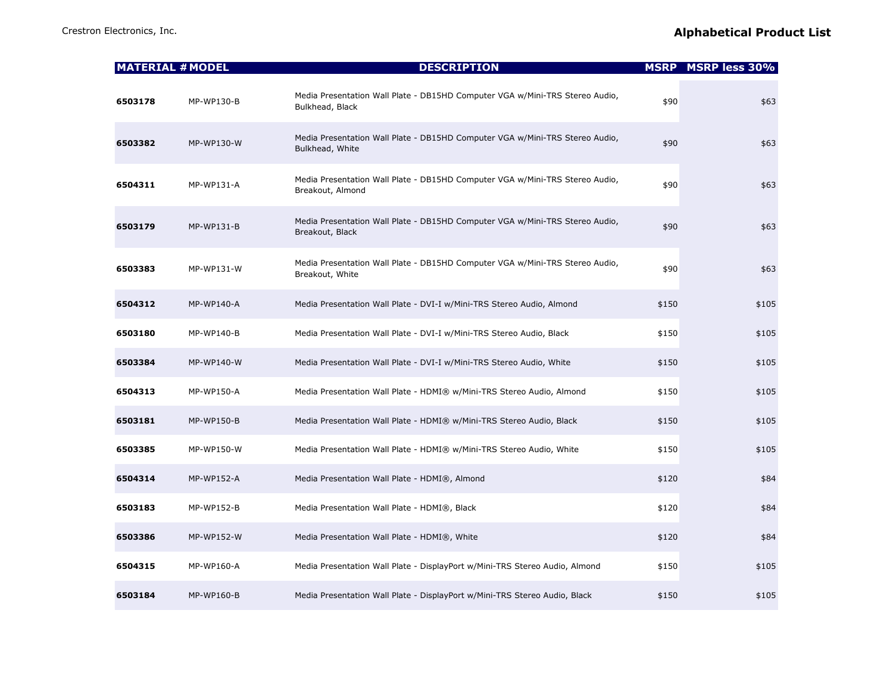|         | <b>MATERIAL # MODEL</b> | <b>DESCRIPTION</b>                                                                               |       | <b>MSRP</b> MSRP less 30% |
|---------|-------------------------|--------------------------------------------------------------------------------------------------|-------|---------------------------|
| 6503178 | MP-WP130-B              | Media Presentation Wall Plate - DB15HD Computer VGA w/Mini-TRS Stereo Audio,<br>Bulkhead, Black  | \$90  | \$63                      |
| 6503382 | MP-WP130-W              | Media Presentation Wall Plate - DB15HD Computer VGA w/Mini-TRS Stereo Audio,<br>Bulkhead, White  | \$90  | \$63                      |
| 6504311 | MP-WP131-A              | Media Presentation Wall Plate - DB15HD Computer VGA w/Mini-TRS Stereo Audio,<br>Breakout, Almond | \$90  | \$63                      |
| 6503179 | MP-WP131-B              | Media Presentation Wall Plate - DB15HD Computer VGA w/Mini-TRS Stereo Audio,<br>Breakout, Black  | \$90  | \$63                      |
| 6503383 | MP-WP131-W              | Media Presentation Wall Plate - DB15HD Computer VGA w/Mini-TRS Stereo Audio,<br>Breakout, White  | \$90  | \$63                      |
| 6504312 | MP-WP140-A              | Media Presentation Wall Plate - DVI-I w/Mini-TRS Stereo Audio, Almond                            | \$150 | \$105                     |
| 6503180 | MP-WP140-B              | Media Presentation Wall Plate - DVI-I w/Mini-TRS Stereo Audio, Black                             | \$150 | \$105                     |
| 6503384 | MP-WP140-W              | Media Presentation Wall Plate - DVI-I w/Mini-TRS Stereo Audio, White                             | \$150 | \$105                     |
| 6504313 | MP-WP150-A              | Media Presentation Wall Plate - HDMI® w/Mini-TRS Stereo Audio, Almond                            | \$150 | \$105                     |
| 6503181 | MP-WP150-B              | Media Presentation Wall Plate - HDMI® w/Mini-TRS Stereo Audio, Black                             | \$150 | \$105                     |
| 6503385 | MP-WP150-W              | Media Presentation Wall Plate - HDMI® w/Mini-TRS Stereo Audio, White                             | \$150 | \$105                     |
| 6504314 | MP-WP152-A              | Media Presentation Wall Plate - HDMI®, Almond                                                    | \$120 | \$84                      |
| 6503183 | MP-WP152-B              | Media Presentation Wall Plate - HDMI®, Black                                                     | \$120 | \$84                      |
| 6503386 | MP-WP152-W              | Media Presentation Wall Plate - HDMI®, White                                                     | \$120 | \$84                      |
| 6504315 | MP-WP160-A              | Media Presentation Wall Plate - DisplayPort w/Mini-TRS Stereo Audio, Almond                      | \$150 | \$105                     |
| 6503184 | <b>MP-WP160-B</b>       | Media Presentation Wall Plate - DisplayPort w/Mini-TRS Stereo Audio, Black                       | \$150 | \$105                     |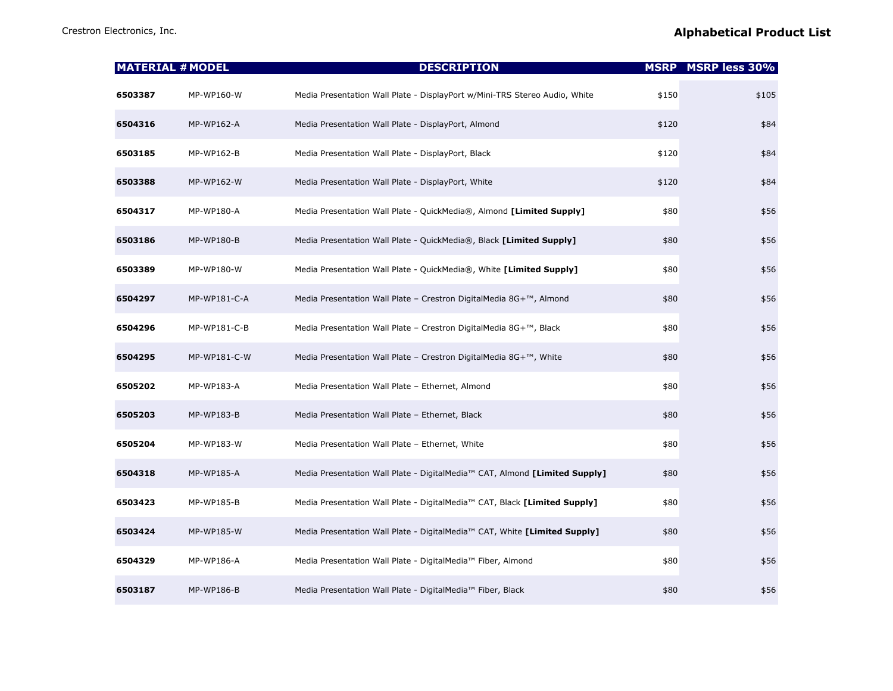|         | <b>MATERIAL # MODEL</b> | <b>DESCRIPTION</b>                                                         |       | <b>MSRP MSRP less 30%</b> |
|---------|-------------------------|----------------------------------------------------------------------------|-------|---------------------------|
| 6503387 | MP-WP160-W              | Media Presentation Wall Plate - DisplayPort w/Mini-TRS Stereo Audio, White | \$150 | \$105                     |
| 6504316 | MP-WP162-A              | Media Presentation Wall Plate - DisplayPort, Almond                        | \$120 | \$84                      |
| 6503185 | MP-WP162-B              | Media Presentation Wall Plate - DisplayPort, Black                         | \$120 | \$84                      |
| 6503388 | MP-WP162-W              | Media Presentation Wall Plate - DisplayPort, White                         | \$120 | \$84                      |
| 6504317 | MP-WP180-A              | Media Presentation Wall Plate - QuickMedia®, Almond [Limited Supply]       | \$80  | \$56                      |
| 6503186 | MP-WP180-B              | Media Presentation Wall Plate - QuickMedia®, Black [Limited Supply]        | \$80  | \$56                      |
| 6503389 | MP-WP180-W              | Media Presentation Wall Plate - QuickMedia®, White [Limited Supply]        | \$80  | \$56                      |
| 6504297 | MP-WP181-C-A            | Media Presentation Wall Plate - Crestron DigitalMedia 8G+™, Almond         | \$80  | \$56                      |
| 6504296 | MP-WP181-C-B            | Media Presentation Wall Plate - Crestron DigitalMedia 8G+™, Black          | \$80  | \$56                      |
| 6504295 | MP-WP181-C-W            | Media Presentation Wall Plate - Crestron DigitalMedia 8G+™, White          | \$80  | \$56                      |
| 6505202 | MP-WP183-A              | Media Presentation Wall Plate - Ethernet, Almond                           | \$80  | \$56                      |
| 6505203 | MP-WP183-B              | Media Presentation Wall Plate - Ethernet, Black                            | \$80  | \$56                      |
| 6505204 | MP-WP183-W              | Media Presentation Wall Plate - Ethernet, White                            | \$80  | \$56                      |
| 6504318 | MP-WP185-A              | Media Presentation Wall Plate - DigitalMedia™ CAT, Almond [Limited Supply] | \$80  | \$56                      |
| 6503423 | MP-WP185-B              | Media Presentation Wall Plate - DigitalMedia™ CAT, Black [Limited Supply]  | \$80  | \$56                      |
| 6503424 | MP-WP185-W              | Media Presentation Wall Plate - DigitalMedia™ CAT, White [Limited Supply]  | \$80  | \$56                      |
| 6504329 | MP-WP186-A              | Media Presentation Wall Plate - DigitalMedia™ Fiber, Almond                | \$80  | \$56                      |
| 6503187 | MP-WP186-B              | Media Presentation Wall Plate - DigitalMedia™ Fiber, Black                 | \$80  | \$56                      |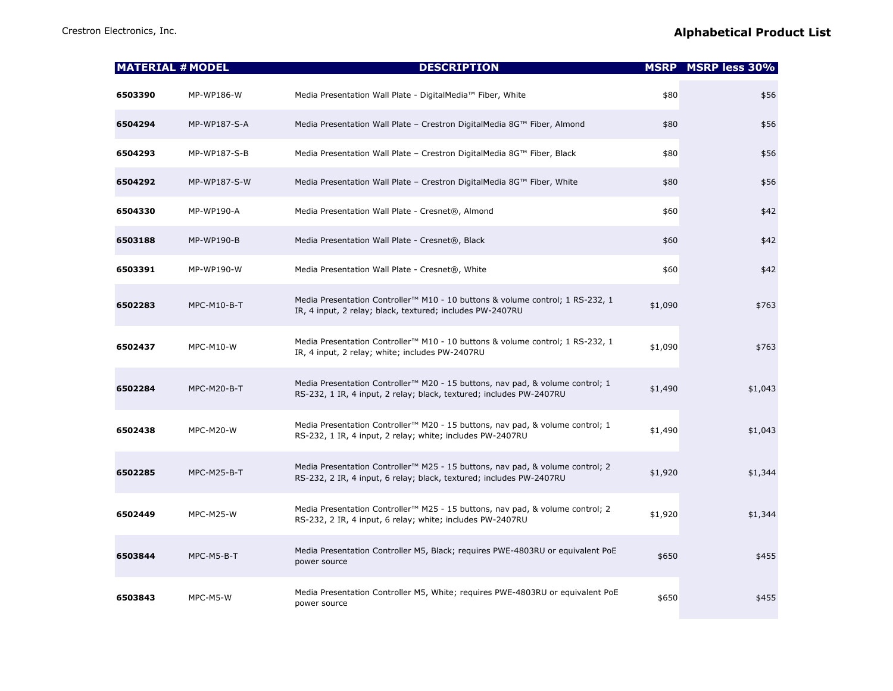|         | <b>MATERIAL # MODEL</b> | <b>DESCRIPTION</b>                                                                                                                                               |         | <b>MSRP</b> MSRP less 30% |
|---------|-------------------------|------------------------------------------------------------------------------------------------------------------------------------------------------------------|---------|---------------------------|
| 6503390 | MP-WP186-W              | Media Presentation Wall Plate - DigitalMedia™ Fiber, White                                                                                                       | \$80    | \$56                      |
| 6504294 | MP-WP187-S-A            | Media Presentation Wall Plate - Crestron DigitalMedia 8G™ Fiber, Almond                                                                                          | \$80    | \$56                      |
| 6504293 | MP-WP187-S-B            | Media Presentation Wall Plate - Crestron DigitalMedia 8G™ Fiber, Black                                                                                           | \$80    | \$56                      |
| 6504292 | <b>MP-WP187-S-W</b>     | Media Presentation Wall Plate - Crestron DigitalMedia 8G™ Fiber, White                                                                                           | \$80    | \$56                      |
| 6504330 | <b>MP-WP190-A</b>       | Media Presentation Wall Plate - Cresnet®, Almond                                                                                                                 | \$60    | \$42                      |
| 6503188 | MP-WP190-B              | Media Presentation Wall Plate - Cresnet®, Black                                                                                                                  | \$60    | \$42                      |
| 6503391 | MP-WP190-W              | Media Presentation Wall Plate - Cresnet®, White                                                                                                                  | \$60    | \$42                      |
| 6502283 | MPC-M10-B-T             | Media Presentation Controller <sup>™</sup> M10 - 10 buttons & volume control; 1 RS-232, 1<br>IR, 4 input, 2 relay; black, textured; includes PW-2407RU           | \$1,090 | \$763                     |
| 6502437 | MPC-M10-W               | Media Presentation Controller™ M10 - 10 buttons & volume control; 1 RS-232, 1<br>IR, 4 input, 2 relay; white; includes PW-2407RU                                 | \$1,090 | \$763                     |
| 6502284 | <b>MPC-M20-B-T</b>      | Media Presentation Controller <sup>™</sup> M20 - 15 buttons, nav pad, & volume control; 1<br>RS-232, 1 IR, 4 input, 2 relay; black, textured; includes PW-2407RU | \$1,490 | \$1,043                   |
| 6502438 | MPC-M20-W               | Media Presentation Controller <sup>™</sup> M20 - 15 buttons, nav pad, & volume control; 1<br>RS-232, 1 IR, 4 input, 2 relay; white; includes PW-2407RU           | \$1,490 | \$1,043                   |
| 6502285 | MPC-M25-B-T             | Media Presentation Controller <sup>™</sup> M25 - 15 buttons, nav pad, & volume control; 2<br>RS-232, 2 IR, 4 input, 6 relay; black, textured; includes PW-2407RU | \$1,920 | \$1,344                   |
| 6502449 | <b>MPC-M25-W</b>        | Media Presentation Controller <sup>™</sup> M25 - 15 buttons, nav pad, & volume control; 2<br>RS-232, 2 IR, 4 input, 6 relay; white; includes PW-2407RU           | \$1,920 | \$1,344                   |
| 6503844 | MPC-M5-B-T              | Media Presentation Controller M5, Black; requires PWE-4803RU or equivalent PoE<br>power source                                                                   | \$650   | \$455                     |
| 6503843 | MPC-M5-W                | Media Presentation Controller M5, White; requires PWE-4803RU or equivalent PoE<br>power source                                                                   | \$650   | \$455                     |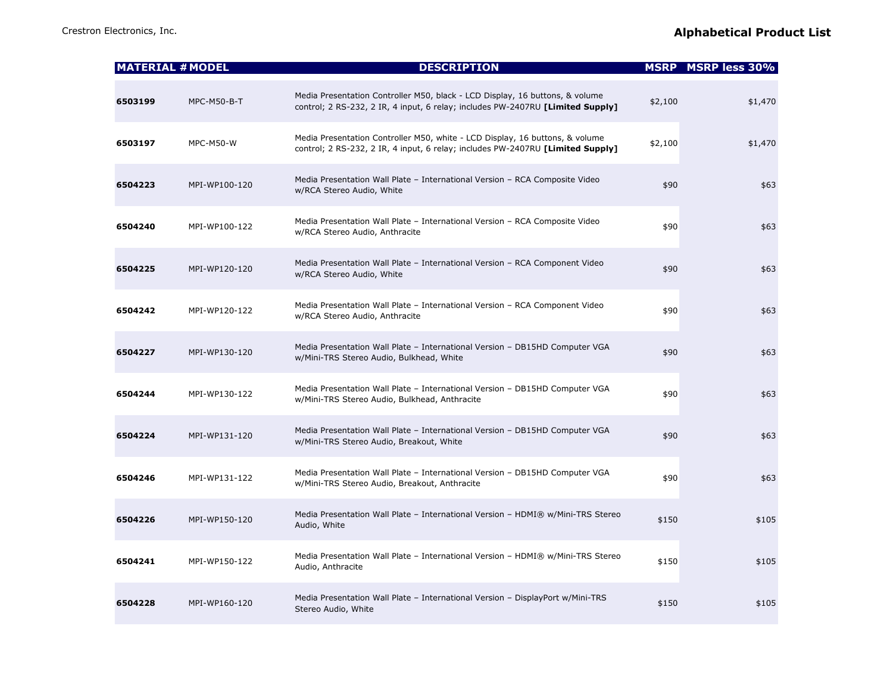|         | <b>MATERIAL # MODEL</b> | <b>DESCRIPTION</b>                                                                                                                                             |         | <b>MSRP</b> MSRP less 30% |
|---------|-------------------------|----------------------------------------------------------------------------------------------------------------------------------------------------------------|---------|---------------------------|
| 6503199 | <b>MPC-M50-B-T</b>      | Media Presentation Controller M50, black - LCD Display, 16 buttons, & volume<br>control; 2 RS-232, 2 IR, 4 input, 6 relay; includes PW-2407RU [Limited Supply] | \$2,100 | \$1,470                   |
| 6503197 | <b>MPC-M50-W</b>        | Media Presentation Controller M50, white - LCD Display, 16 buttons, & volume<br>control; 2 RS-232, 2 IR, 4 input, 6 relay; includes PW-2407RU [Limited Supply] | \$2,100 | \$1,470                   |
| 6504223 | MPI-WP100-120           | Media Presentation Wall Plate - International Version - RCA Composite Video<br>w/RCA Stereo Audio, White                                                       | \$90    | \$63                      |
| 6504240 | MPI-WP100-122           | Media Presentation Wall Plate - International Version - RCA Composite Video<br>w/RCA Stereo Audio, Anthracite                                                  | \$90    | \$63                      |
| 6504225 | MPI-WP120-120           | Media Presentation Wall Plate - International Version - RCA Component Video<br>w/RCA Stereo Audio, White                                                       | \$90    | \$63                      |
| 6504242 | MPI-WP120-122           | Media Presentation Wall Plate - International Version - RCA Component Video<br>w/RCA Stereo Audio, Anthracite                                                  | \$90    | \$63                      |
| 6504227 | MPI-WP130-120           | Media Presentation Wall Plate - International Version - DB15HD Computer VGA<br>w/Mini-TRS Stereo Audio, Bulkhead, White                                        | \$90    | \$63                      |
| 6504244 | MPI-WP130-122           | Media Presentation Wall Plate - International Version - DB15HD Computer VGA<br>w/Mini-TRS Stereo Audio, Bulkhead, Anthracite                                   | \$90    | \$63                      |
| 6504224 | MPI-WP131-120           | Media Presentation Wall Plate - International Version - DB15HD Computer VGA<br>w/Mini-TRS Stereo Audio, Breakout, White                                        | \$90    | \$63                      |
| 6504246 | MPI-WP131-122           | Media Presentation Wall Plate - International Version - DB15HD Computer VGA<br>w/Mini-TRS Stereo Audio, Breakout, Anthracite                                   | \$90    | \$63                      |
| 6504226 | MPI-WP150-120           | Media Presentation Wall Plate - International Version - HDMI® w/Mini-TRS Stereo<br>Audio, White                                                                | \$150   | \$105                     |
| 6504241 | MPI-WP150-122           | Media Presentation Wall Plate - International Version - HDMI® w/Mini-TRS Stereo<br>Audio, Anthracite                                                           | \$150   | \$105                     |
| 6504228 | MPI-WP160-120           | Media Presentation Wall Plate - International Version - DisplayPort w/Mini-TRS<br>Stereo Audio, White                                                          | \$150   | \$105                     |